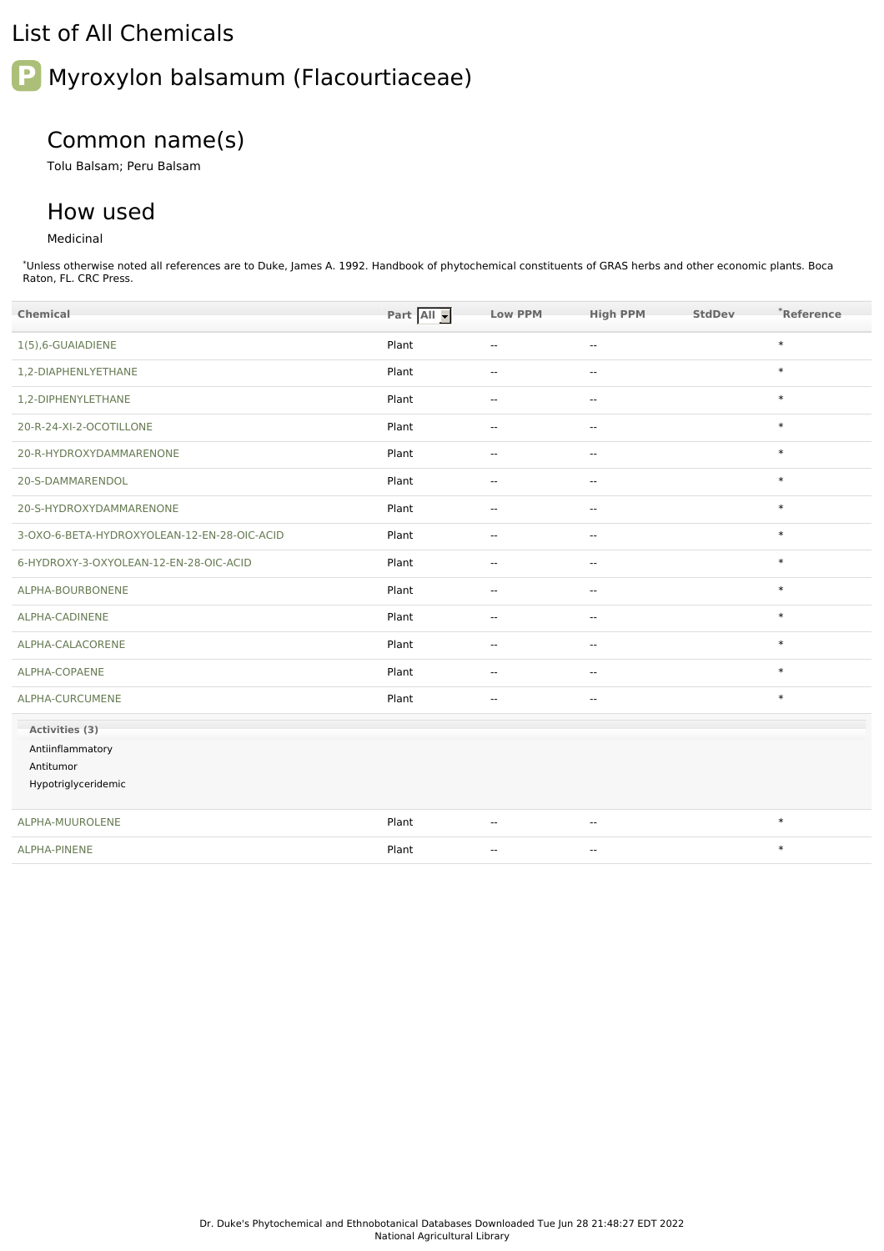## List of All Chemicals

# **P** Myroxylon balsamum (Flacourtiaceae)

# Common name(s)

Tolu Balsam; Peru Balsam

## How used

## Medicinal

\*Unless otherwise noted all references are to Duke, James A. 1992. Handbook of phytochemical constituents of GRAS herbs and other economic plants. Boca Raton, FL. CRC Press.

| Chemical                                    | Part All | <b>Low PPM</b>           | <b>High PPM</b>          | StdDev | *Reference |
|---------------------------------------------|----------|--------------------------|--------------------------|--------|------------|
| 1(5),6-GUAIADIENE                           | Plant    | $\overline{\phantom{a}}$ | --                       |        | $\ast$     |
| 1,2-DIAPHENLYETHANE                         | Plant    | $\mathbf{u}$             | --                       |        | $\ast$     |
| 1,2-DIPHENYLETHANE                          | Plant    | $\mathbf{u}$             | $\cdots$                 |        | $\ast$     |
| 20-R-24-XI-2-OCOTILLONE                     | Plant    | $\mathbf{u}$             | $\overline{\phantom{a}}$ |        | $\ast$     |
| 20-R-HYDROXYDAMMARENONE                     | Plant    | $\mathbf{u}$             | $\overline{\phantom{a}}$ |        | $\ast$     |
| 20-S-DAMMARENDOL                            | Plant    | $\mathbf{u}$             | $\overline{\phantom{a}}$ |        | $\ast$     |
| 20-S-HYDROXYDAMMARENONE                     | Plant    | $\sim$ $\sim$            | $\overline{\phantom{a}}$ |        | $\ast$     |
| 3-OXO-6-BETA-HYDROXYOLEAN-12-EN-28-OIC-ACID | Plant    | $\sim$ $\sim$            | $\overline{a}$           |        | $\ast$     |
| 6-HYDROXY-3-OXYOLEAN-12-EN-28-OIC-ACID      | Plant    | $\mathbf{u}$             | Ξ.                       |        | $\ast$     |
| ALPHA-BOURBONENE                            | Plant    | $\mathbf{u}$             | --                       |        | $\ast$     |
| ALPHA-CADINENE                              | Plant    | $\mathbf{u}$             | ш,                       |        | $\ast$     |
| ALPHA-CALACORENE                            | Plant    | $\overline{\phantom{a}}$ | $\overline{\phantom{a}}$ |        | $\ast$     |
| ALPHA-COPAENE                               | Plant    | $\sim$ $\sim$            | $\sim$                   |        | $\ast$     |
| ALPHA-CURCUMENE                             | Plant    | $\mathbf{u}$             | $\mathbf{u}$             |        | $\ast$     |
| Activities (3)                              |          |                          |                          |        |            |
| Antiinflammatory                            |          |                          |                          |        |            |
| Antitumor                                   |          |                          |                          |        |            |
| Hypotriglyceridemic                         |          |                          |                          |        |            |
| ALPHA-MUUROLENE                             | Plant    | $\overline{\phantom{a}}$ | --                       |        | $\ast$     |
| ALPHA-PINENE                                | Plant    | $\overline{\phantom{a}}$ | --                       |        | $\ast$     |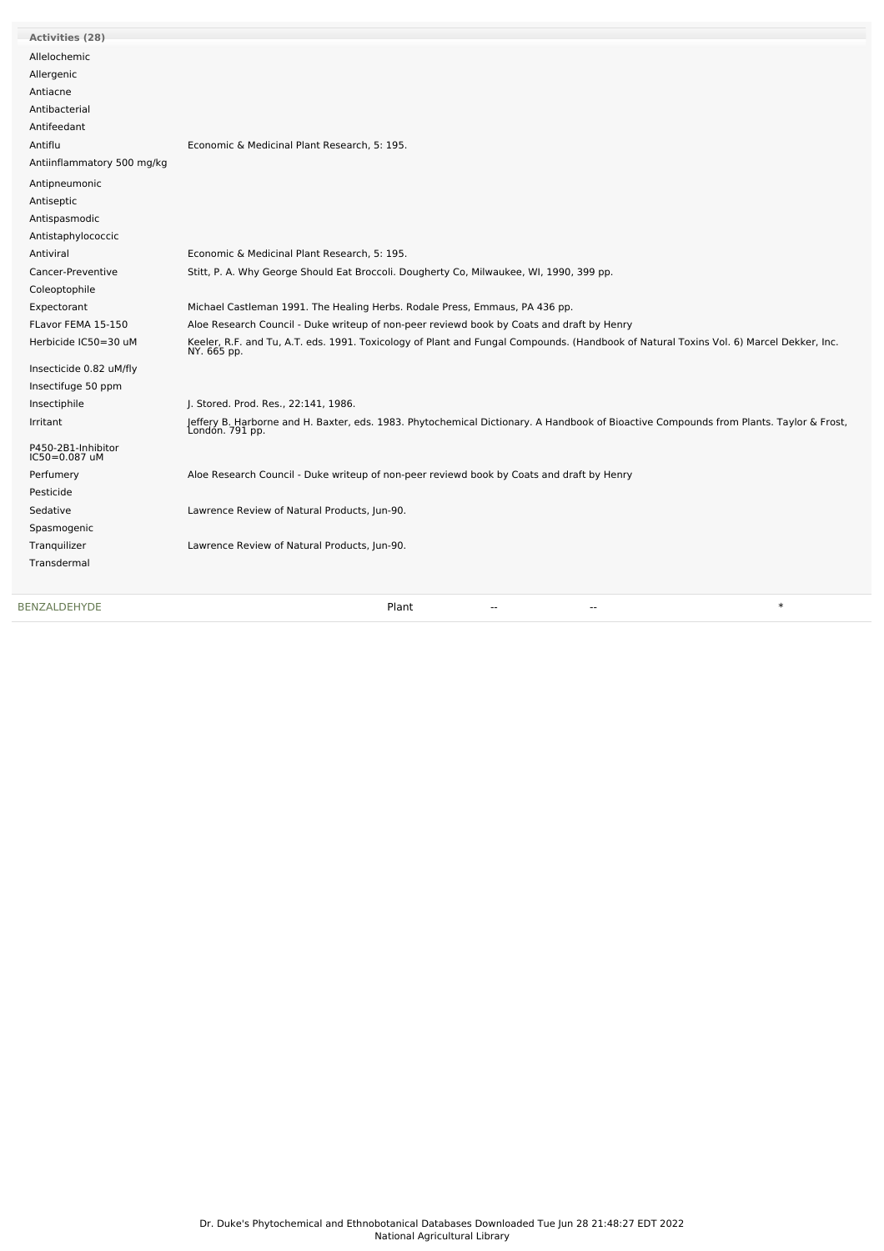| <b>BENZALDEHYDE</b>                 | $\ast$<br>Plant<br>$-$<br>--                                                                                                                              |
|-------------------------------------|-----------------------------------------------------------------------------------------------------------------------------------------------------------|
|                                     |                                                                                                                                                           |
| Transdermal                         |                                                                                                                                                           |
| Tranquilizer                        | Lawrence Review of Natural Products, Jun-90.                                                                                                              |
| Spasmogenic                         |                                                                                                                                                           |
| Sedative                            | Lawrence Review of Natural Products, Jun-90.                                                                                                              |
| Pesticide                           |                                                                                                                                                           |
| Perfumery                           | Aloe Research Council - Duke writeup of non-peer reviewd book by Coats and draft by Henry                                                                 |
| P450-2B1-Inhibitor<br>IC50=0.087 uM |                                                                                                                                                           |
| Irritant                            | Jeffery B. Harborne and H. Baxter, eds. 1983. Phytochemical Dictionary. A Handbook of Bioactive Compounds from Plants. Taylor & Frost,<br>London. 791 pp. |
| Insectiphile                        | J. Stored. Prod. Res., 22:141, 1986.                                                                                                                      |
| Insectifuge 50 ppm                  |                                                                                                                                                           |
| Insecticide 0.82 uM/fly             |                                                                                                                                                           |
| Herbicide IC50=30 uM                | Keeler, R.F. and Tu, A.T. eds. 1991. Toxicology of Plant and Fungal Compounds. (Handbook of Natural Toxins Vol. 6) Marcel Dekker, Inc.<br>NY. 665 pp.     |
| FLavor FEMA 15-150                  | Aloe Research Council - Duke writeup of non-peer reviewd book by Coats and draft by Henry                                                                 |
| Expectorant                         | Michael Castleman 1991. The Healing Herbs. Rodale Press, Emmaus, PA 436 pp.                                                                               |
| Coleoptophile                       |                                                                                                                                                           |
| Cancer-Preventive                   | Stitt, P. A. Why George Should Eat Broccoli. Dougherty Co, Milwaukee, WI, 1990, 399 pp.                                                                   |
| Antiviral                           | Economic & Medicinal Plant Research, 5: 195.                                                                                                              |
| Antistaphylococcic                  |                                                                                                                                                           |
| Antispasmodic                       |                                                                                                                                                           |
| Antiseptic                          |                                                                                                                                                           |
| Antipneumonic                       |                                                                                                                                                           |
| Antiinflammatory 500 mg/kg          |                                                                                                                                                           |
| Antiflu                             | Economic & Medicinal Plant Research, 5: 195.                                                                                                              |
| Antifeedant                         |                                                                                                                                                           |
| Antibacterial                       |                                                                                                                                                           |
| Antiacne                            |                                                                                                                                                           |
| Allergenic                          |                                                                                                                                                           |
| Allelochemic                        |                                                                                                                                                           |
| <b>Activities (28)</b>              |                                                                                                                                                           |
|                                     |                                                                                                                                                           |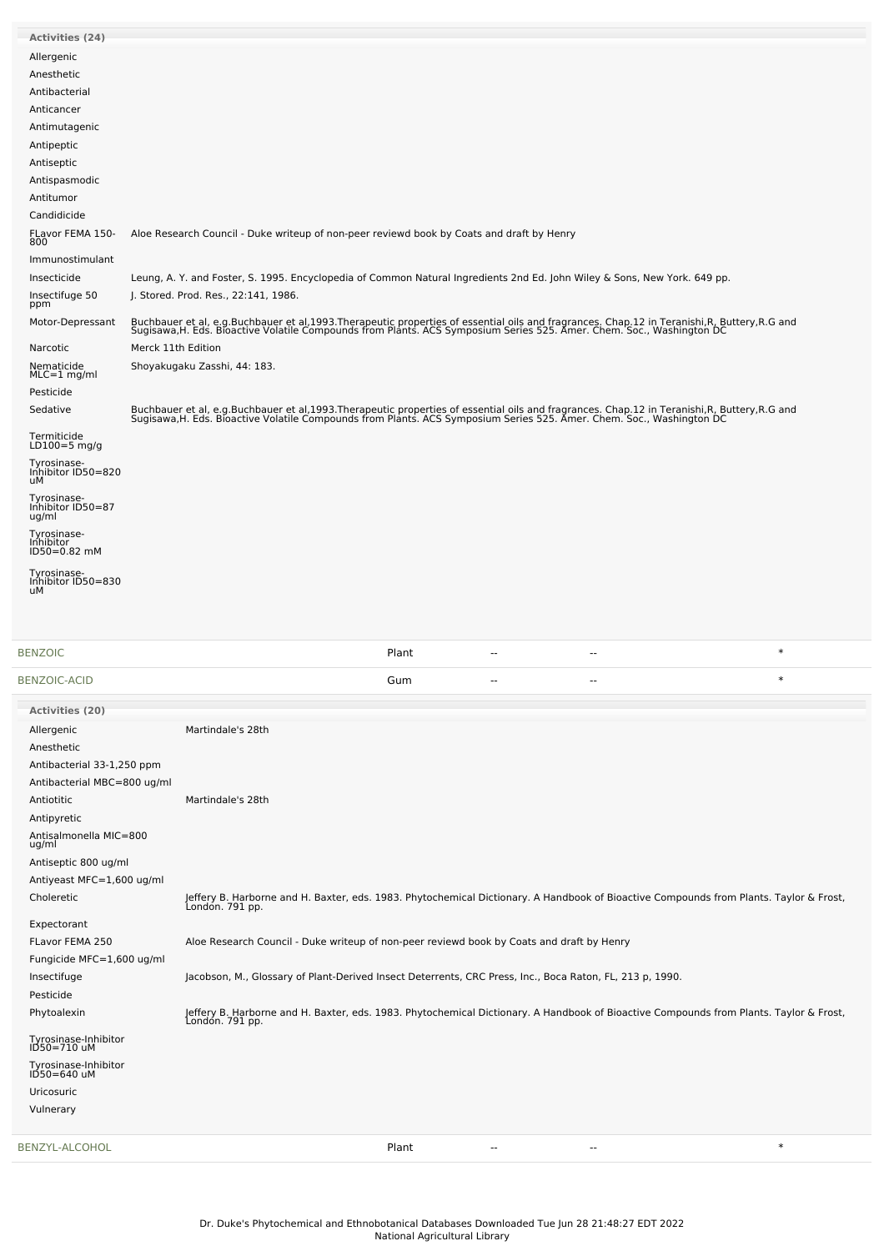| <b>Activities (24)</b>                   |                              |                                                                                                                                                                                                                                   |       |    |        |  |
|------------------------------------------|------------------------------|-----------------------------------------------------------------------------------------------------------------------------------------------------------------------------------------------------------------------------------|-------|----|--------|--|
| Allergenic                               |                              |                                                                                                                                                                                                                                   |       |    |        |  |
| Anesthetic                               |                              |                                                                                                                                                                                                                                   |       |    |        |  |
| Antibacterial                            |                              |                                                                                                                                                                                                                                   |       |    |        |  |
| Anticancer                               |                              |                                                                                                                                                                                                                                   |       |    |        |  |
| Antimutagenic                            |                              |                                                                                                                                                                                                                                   |       |    |        |  |
| Antipeptic                               |                              |                                                                                                                                                                                                                                   |       |    |        |  |
| Antiseptic                               |                              |                                                                                                                                                                                                                                   |       |    |        |  |
| Antispasmodic                            |                              |                                                                                                                                                                                                                                   |       |    |        |  |
| Antitumor                                |                              |                                                                                                                                                                                                                                   |       |    |        |  |
| Candidicide                              |                              |                                                                                                                                                                                                                                   |       |    |        |  |
| FLavor FEMA 150-                         |                              | Aloe Research Council - Duke writeup of non-peer reviewd book by Coats and draft by Henry                                                                                                                                         |       |    |        |  |
| 800                                      |                              |                                                                                                                                                                                                                                   |       |    |        |  |
| Immunostimulant<br>Insecticide           |                              | Leung, A. Y. and Foster, S. 1995. Encyclopedia of Common Natural Ingredients 2nd Ed. John Wiley & Sons, New York. 649 pp.                                                                                                         |       |    |        |  |
| Insectifuge 50                           |                              | J. Stored. Prod. Res., 22:141, 1986.                                                                                                                                                                                              |       |    |        |  |
| ppm                                      |                              |                                                                                                                                                                                                                                   |       |    |        |  |
| Motor-Depressant                         |                              | Buchbauer et al, e.g.Buchbauer et al,1993.Therapeutic properties of essential oils and fragrances. Chap.12 in Teranishi,R, Buttery,R.G and<br>Sugisawa,H. Eds. Bioactive Volatile Compounds from Plants. ACS Symposium Series 525 |       |    |        |  |
| Narcotic                                 | Merck 11th Edition           |                                                                                                                                                                                                                                   |       |    |        |  |
| Nematicide                               | Shoyakugaku Zasshi, 44: 183. |                                                                                                                                                                                                                                   |       |    |        |  |
| $MLC = 1$ mg/ml                          |                              |                                                                                                                                                                                                                                   |       |    |        |  |
| Pesticide                                |                              |                                                                                                                                                                                                                                   |       |    |        |  |
| Sedative                                 |                              | Buchbauer et al, e.g.Buchbauer et al,1993.Therapeutic properties of essential oils and fragrances. Chap.12 in Teranishi,R, Buttery,R.G and<br>Sugisawa,H. Eds. Bioactive Volatile Compounds from Plants. ACS Symposium Series 525 |       |    |        |  |
| Termiticide<br>LD $100=5$ mg/g           |                              |                                                                                                                                                                                                                                   |       |    |        |  |
| Tyrosinase-<br>Inhibitor ID50=820        |                              |                                                                                                                                                                                                                                   |       |    |        |  |
| uМ<br>Tyrosinase-                        |                              |                                                                                                                                                                                                                                   |       |    |        |  |
| Inhibitor ID50=87<br>ug/ml               |                              |                                                                                                                                                                                                                                   |       |    |        |  |
|                                          |                              |                                                                                                                                                                                                                                   |       |    |        |  |
| Tyrosinase-<br>Inhibitor<br>ID50=0.82 mM |                              |                                                                                                                                                                                                                                   |       |    |        |  |
| Tyrosinase-<br>Inhibitor ID50=830<br>uМ  |                              |                                                                                                                                                                                                                                   |       |    |        |  |
|                                          |                              |                                                                                                                                                                                                                                   |       |    |        |  |
|                                          |                              |                                                                                                                                                                                                                                   |       |    |        |  |
| <b>BENZOIC</b>                           |                              |                                                                                                                                                                                                                                   | Plant | -- | $\ast$ |  |
| BENZOIC-ACID                             |                              |                                                                                                                                                                                                                                   | Gum   |    | $\ast$ |  |
| Activities (20)                          |                              |                                                                                                                                                                                                                                   |       |    |        |  |
| Allergenic                               |                              | Martindale's 28th                                                                                                                                                                                                                 |       |    |        |  |
| Anesthetic                               |                              |                                                                                                                                                                                                                                   |       |    |        |  |
| Antibacterial 33-1,250 ppm               |                              |                                                                                                                                                                                                                                   |       |    |        |  |
| Antibacterial MBC=800 ug/ml              |                              |                                                                                                                                                                                                                                   |       |    |        |  |
| Antiotitic                               |                              | Martindale's 28th                                                                                                                                                                                                                 |       |    |        |  |
| Antipyretic                              |                              |                                                                                                                                                                                                                                   |       |    |        |  |
| Antisalmonella MIC=800                   |                              |                                                                                                                                                                                                                                   |       |    |        |  |
| ug/ml                                    |                              |                                                                                                                                                                                                                                   |       |    |        |  |
| Antiseptic 800 ug/ml                     |                              |                                                                                                                                                                                                                                   |       |    |        |  |
| Antiyeast MFC=1,600 ug/ml                |                              |                                                                                                                                                                                                                                   |       |    |        |  |
| Choleretic                               |                              | Jeffery B. Harborne and H. Baxter, eds. 1983. Phytochemical Dictionary. A Handbook of Bioactive Compounds from Plants. Taylor & Frost,<br>Londón. 791 pp.                                                                         |       |    |        |  |
| Expectorant                              |                              |                                                                                                                                                                                                                                   |       |    |        |  |
| FLavor FEMA 250                          |                              | Aloe Research Council - Duke writeup of non-peer reviewd book by Coats and draft by Henry                                                                                                                                         |       |    |        |  |
| Fungicide MFC=1,600 ug/ml                |                              |                                                                                                                                                                                                                                   |       |    |        |  |
| Insectifuge                              |                              | Jacobson, M., Glossary of Plant-Derived Insect Deterrents, CRC Press, Inc., Boca Raton, FL, 213 p, 1990.                                                                                                                          |       |    |        |  |
| Pesticide                                |                              |                                                                                                                                                                                                                                   |       |    |        |  |
| Phytoalexin                              |                              | Jeffery B. Harborne and H. Baxter, eds. 1983. Phytochemical Dictionary. A Handbook of Bioactive Compounds from Plants. Taylor & Frost,<br>London. 791 pp.                                                                         |       |    |        |  |
| Tyrosinase-Inhibitor<br>ID50=710 uM      |                              |                                                                                                                                                                                                                                   |       |    |        |  |
| Tyrosinase-Inhibitor<br>ID50=640 uM      |                              |                                                                                                                                                                                                                                   |       |    |        |  |
| Uricosuric                               |                              |                                                                                                                                                                                                                                   |       |    |        |  |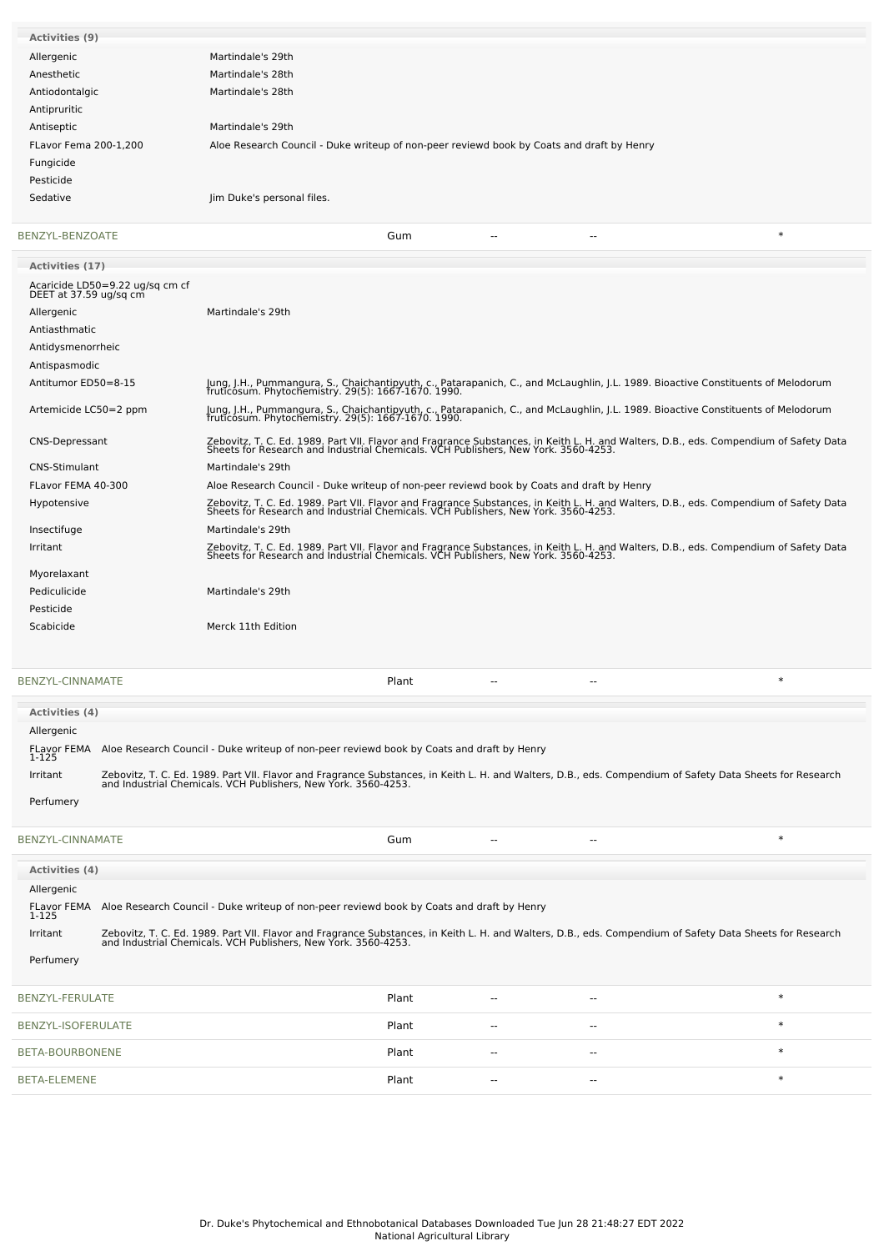| <b>Activities (9)</b>                                     |                                                                                                                                                                                                                             |
|-----------------------------------------------------------|-----------------------------------------------------------------------------------------------------------------------------------------------------------------------------------------------------------------------------|
| Allergenic                                                | Martindale's 29th                                                                                                                                                                                                           |
| Anesthetic                                                | Martindale's 28th                                                                                                                                                                                                           |
| Antiodontalgic                                            | Martindale's 28th                                                                                                                                                                                                           |
| Antipruritic                                              |                                                                                                                                                                                                                             |
| Antiseptic                                                | Martindale's 29th                                                                                                                                                                                                           |
| FLavor Fema 200-1,200                                     | Aloe Research Council - Duke writeup of non-peer reviewd book by Coats and draft by Henry                                                                                                                                   |
| Fungicide                                                 |                                                                                                                                                                                                                             |
| Pesticide                                                 |                                                                                                                                                                                                                             |
| Sedative                                                  | Jim Duke's personal files.                                                                                                                                                                                                  |
|                                                           |                                                                                                                                                                                                                             |
| BENZYL-BENZOATE                                           | $\ast$<br>Gum                                                                                                                                                                                                               |
| Activities (17)                                           |                                                                                                                                                                                                                             |
| Acaricide LD50=9.22 ug/sq cm cf<br>DEET at 37.59 ug/sq cm |                                                                                                                                                                                                                             |
| Allergenic                                                | Martindale's 29th                                                                                                                                                                                                           |
| Antiasthmatic                                             |                                                                                                                                                                                                                             |
| Antidysmenorrheic                                         |                                                                                                                                                                                                                             |
| Antispasmodic                                             |                                                                                                                                                                                                                             |
| Antitumor ED50=8-15                                       | Jung, J.H., Pummangura, S., Chaichantipyuth, c., Patarapanich, C., and McLaughlin, J.L. 1989. Bioactive Constituents of Melodorum<br>fruticosum. Phytochemistry. 29(5): 1667-1670. 1990.                                    |
| Artemicide LC50=2 ppm                                     | Jung, J.H., Pummangura, S., Chaichantipyuth, c., Patarapanich, C., and McLaughlin, J.L. 1989. Bioactive Constituents of Melodorum<br>fruticosum. Phytochemistry. 29(5): 1667-1670. 1990.                                    |
| <b>CNS-Depressant</b>                                     | Zebovitz, T. C. Ed. 1989. Part VII. Flavor and Fragrance Substances, in Keith L. H. and Walters, D.B., eds. Compendium of Safety Data<br>Sheets for Research and Industrial Chemicals. VCH Publishers, New York. 3560-4253. |
| <b>CNS-Stimulant</b>                                      | Martindale's 29th                                                                                                                                                                                                           |
| FLavor FEMA 40-300                                        | Aloe Research Council - Duke writeup of non-peer reviewd book by Coats and draft by Henry                                                                                                                                   |
| Hypotensive                                               | Zebovitz, T. C. Ed. 1989. Part VII. Flavor and Fragrance Substances, in Keith L. H. and Walters, D.B., eds. Compendium of Safety Data<br>Sheets for Research and Industrial Chemicals. VCH Publishers, New York. 3560-4253. |
| Insectifuge                                               | Martindale's 29th                                                                                                                                                                                                           |
| Irritant                                                  | Zebovitz, T. C. Ed. 1989. Part VII. Flavor and Fragrance Substances, in Keith L. H. and Walters, D.B., eds. Compendium of Safety Data<br>Sheets for Research and Industrial Chemicals. VCH Publishers, New York. 3560-4253. |
| Myorelaxant                                               |                                                                                                                                                                                                                             |
| Pediculicide                                              | Martindale's 29th                                                                                                                                                                                                           |
| Pesticide                                                 |                                                                                                                                                                                                                             |
| Scabicide                                                 | Merck 11th Edition                                                                                                                                                                                                          |
|                                                           |                                                                                                                                                                                                                             |
|                                                           |                                                                                                                                                                                                                             |

| BENZYL-CINNAMATE<br>Plant<br>$- -$ |  |
|------------------------------------|--|
|------------------------------------|--|

| <b>Activities (4)</b>       |                                                                                                                                                                                                                             |
|-----------------------------|-----------------------------------------------------------------------------------------------------------------------------------------------------------------------------------------------------------------------------|
| Allergenic                  |                                                                                                                                                                                                                             |
| <b>FLavor FEMA</b><br>1-125 | Aloe Research Council - Duke writeup of non-peer reviewd book by Coats and draft by Henry                                                                                                                                   |
| Irritant                    | Zebovitz, T. C. Ed. 1989. Part VII. Flavor and Fragrance Substances, in Keith L. H. and Walters, D.B., eds. Compendium of Safety Data Sheets for Research<br>and Industrial Chemicals. VCH Publishers, New York. 3560-4253. |
| Perfumery                   |                                                                                                                                                                                                                             |

| BENZYL-CINNAMATE            |                                                                                                                                                                                                                          | Gum   | --    | $- -$         | $\ast$ |
|-----------------------------|--------------------------------------------------------------------------------------------------------------------------------------------------------------------------------------------------------------------------|-------|-------|---------------|--------|
| Activities (4)              |                                                                                                                                                                                                                          |       |       |               |        |
| Allergenic                  |                                                                                                                                                                                                                          |       |       |               |        |
| <b>FLavor FEMA</b><br>1-125 | Aloe Research Council - Duke writeup of non-peer reviewd book by Coats and draft by Henry                                                                                                                                |       |       |               |        |
| Irritant                    | Zebovitz, T. C. Ed. 1989. Part VII. Flavor and Fragrance Substances, in Keith L. H. and Walters, D.B., eds. Compendium of Safety Data Sheets for Research and Industrial Chemicals. VCH Publishers, New York. 3560-4253. |       |       |               |        |
| Perfumery                   |                                                                                                                                                                                                                          |       |       |               |        |
|                             |                                                                                                                                                                                                                          |       |       |               |        |
| BENZYL-FERULATE             |                                                                                                                                                                                                                          | Plant | $-$   | $\sim$ $\sim$ | $\ast$ |
| BENZYL-ISOFERULATE          |                                                                                                                                                                                                                          | Plant | $-$   | $\sim$ $-$    | $\ast$ |
| BETA-BOURBONENE             |                                                                                                                                                                                                                          | Plant |       | $\sim$ $\sim$ | $\ast$ |
| <b>BETA-ELEMENE</b>         |                                                                                                                                                                                                                          | Plant | $- -$ | $\sim$ $\sim$ | $\ast$ |
|                             |                                                                                                                                                                                                                          |       |       |               |        |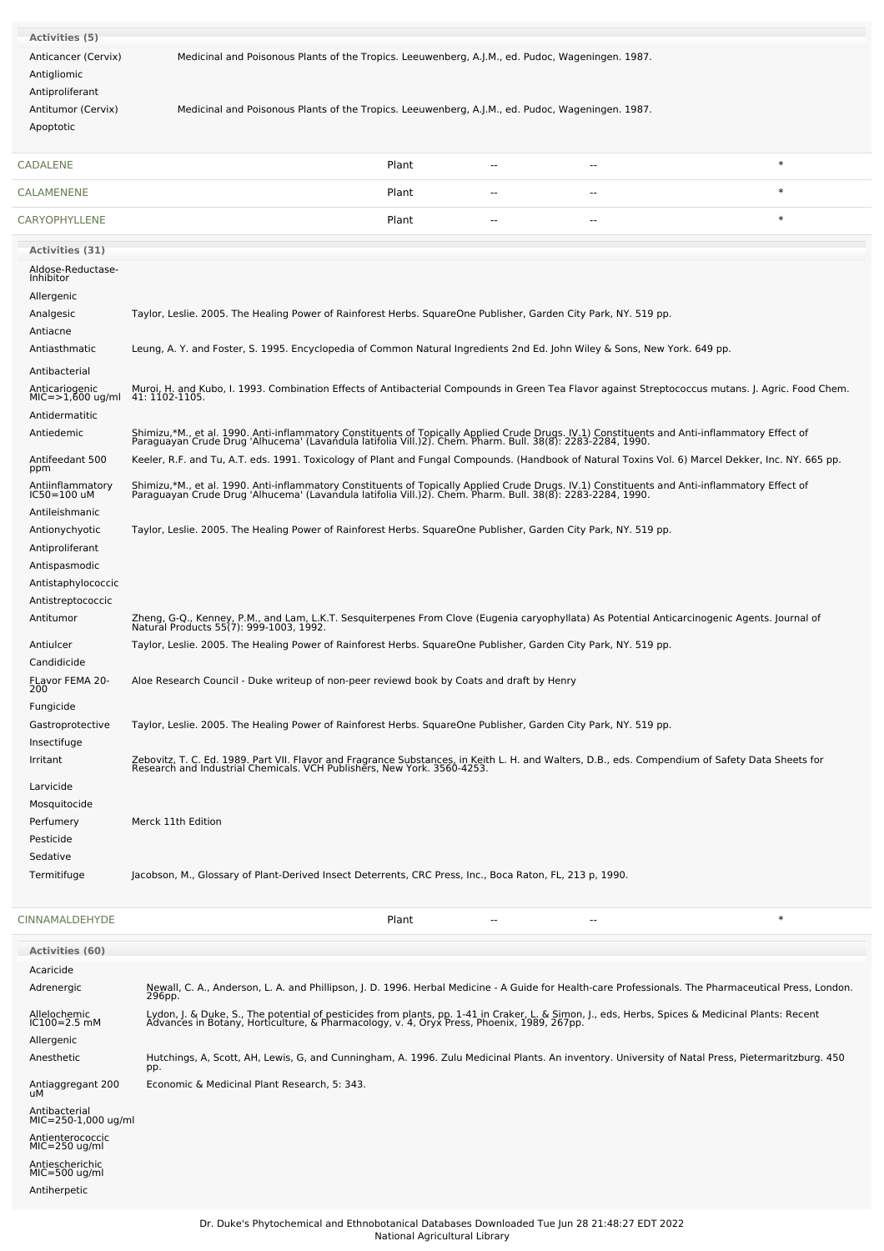| Activities (5)                     |                                                                                                                                                                                                                                   |          |        |
|------------------------------------|-----------------------------------------------------------------------------------------------------------------------------------------------------------------------------------------------------------------------------------|----------|--------|
| Anticancer (Cervix)                | Medicinal and Poisonous Plants of the Tropics. Leeuwenberg, A.J.M., ed. Pudoc, Wageningen. 1987.                                                                                                                                  |          |        |
| Antigliomic                        |                                                                                                                                                                                                                                   |          |        |
| Antiproliferant                    |                                                                                                                                                                                                                                   |          |        |
| Antitumor (Cervix)                 | Medicinal and Poisonous Plants of the Tropics. Leeuwenberg, A.J.M., ed. Pudoc, Wageningen. 1987.                                                                                                                                  |          |        |
| Apoptotic                          |                                                                                                                                                                                                                                   |          |        |
| CADALENE                           | Plant                                                                                                                                                                                                                             | н.<br>-- | $\ast$ |
| CALAMENENE                         | Plant                                                                                                                                                                                                                             |          | $\ast$ |
| <b>CARYOPHYLLENE</b>               | Plant                                                                                                                                                                                                                             |          | $\ast$ |
| <b>Activities (31)</b>             |                                                                                                                                                                                                                                   |          |        |
| Aldose-Reductase-<br>Inhibitor     |                                                                                                                                                                                                                                   |          |        |
| Allergenic                         |                                                                                                                                                                                                                                   |          |        |
| Analgesic                          | Taylor, Leslie. 2005. The Healing Power of Rainforest Herbs. SquareOne Publisher, Garden City Park, NY. 519 pp.                                                                                                                   |          |        |
| Antiacne                           |                                                                                                                                                                                                                                   |          |        |
| Antiasthmatic                      | Leung, A. Y. and Foster, S. 1995. Encyclopedia of Common Natural Ingredients 2nd Ed. John Wiley & Sons, New York. 649 pp.                                                                                                         |          |        |
| Antibacterial                      |                                                                                                                                                                                                                                   |          |        |
| Anticariogenic<br>MIC=>1,600 ug/ml | Muroi, H. and Kubo, I. 1993. Combination Effects of Antibacterial Compounds in Green Tea Flavor against Streptococcus mutans. J. Agric. Food Chem.<br>41: 1102-1105.                                                              |          |        |
| Antidermatitic                     |                                                                                                                                                                                                                                   |          |        |
| Antiedemic                         | Shimizu,*M., et al. 1990. Anti-inflammatory Constituents of Topically Applied Crude Drugs. IV.1) Constituents and Anti-inflammatory Effect of<br>Paraguayan Crude Drug 'Alhucema' (Lavandula latifolia Vill.)2). Chem. Pharm. Bul |          |        |
| Antifeedant 500<br>ppm             | Keeler, R.F. and Tu, A.T. eds. 1991. Toxicology of Plant and Fungal Compounds. (Handbook of Natural Toxins Vol. 6) Marcel Dekker, Inc. NY. 665 pp.                                                                                |          |        |
| Antiinflammatory<br>IC50=100 uM    | Shimizu,*M., et al. 1990. Anti-inflammatory Constituents of Topically Applied Crude Drugs. IV.1) Constituents and Anti-inflammatory Effect of<br>Paraguayan Crude Drug 'Alhucema' (Lavandula latifolia Vill.)2). Chem. Pharm. Bul |          |        |
| Antileishmanic                     |                                                                                                                                                                                                                                   |          |        |
| Antionychyotic                     | Taylor, Leslie. 2005. The Healing Power of Rainforest Herbs. SquareOne Publisher, Garden City Park, NY. 519 pp.                                                                                                                   |          |        |
| Antiproliferant                    |                                                                                                                                                                                                                                   |          |        |
| Antispasmodic                      |                                                                                                                                                                                                                                   |          |        |
| Antistaphylococcic                 |                                                                                                                                                                                                                                   |          |        |
| Antistreptococcic<br>Antitumor     | Zheng, G-Q., Kenney, P.M., and Lam, L.K.T. Sesquiterpenes From Clove (Eugenia caryophyllata) As Potential Anticarcinogenic Agents. Journal of<br>Natural Products 55(7): 999-1003, 1992.                                          |          |        |
| Antiulcer                          | Taylor, Leslie. 2005. The Healing Power of Rainforest Herbs. SquareOne Publisher, Garden City Park, NY. 519 pp.                                                                                                                   |          |        |
| Candidicide                        |                                                                                                                                                                                                                                   |          |        |
| FLavor FEMA 20-<br>zuu             | Aloe Research Council - Duke writeup of non-peer reviewd book by Coats and draft by Henry                                                                                                                                         |          |        |
| Fungicide                          |                                                                                                                                                                                                                                   |          |        |
| Gastroprotective                   | Taylor, Leslie. 2005. The Healing Power of Rainforest Herbs. SquareOne Publisher, Garden City Park, NY. 519 pp.                                                                                                                   |          |        |
| Insectifuge                        |                                                                                                                                                                                                                                   |          |        |
| Irritant                           | Zebovitz, T. C. Ed. 1989. Part VII. Flavor and Fragrance Substances, in Keith L. H. and Walters, D.B., eds. Compendium of Safety Data Sheets for<br>Research and Industrial Chemicals. VCH Publishers, New York. 3560-4253.       |          |        |
| Larvicide                          |                                                                                                                                                                                                                                   |          |        |
| Mosquitocide                       |                                                                                                                                                                                                                                   |          |        |
| Perfumery                          | Merck 11th Edition                                                                                                                                                                                                                |          |        |
| Pesticide                          |                                                                                                                                                                                                                                   |          |        |
|                                    |                                                                                                                                                                                                                                   |          |        |
| Sedative<br>Termitifuge            | Jacobson, M., Glossary of Plant-Derived Insect Deterrents, CRC Press, Inc., Boca Raton, FL, 213 p, 1990.                                                                                                                          |          |        |

| <b>CINNAMALDEHYDE</b> | Plant | $- -$ |  |
|-----------------------|-------|-------|--|
|                       |       |       |  |

| <b>Activities (60)</b>               |                                                                                                                                                                                                                                  |
|--------------------------------------|----------------------------------------------------------------------------------------------------------------------------------------------------------------------------------------------------------------------------------|
| Acaricide                            |                                                                                                                                                                                                                                  |
| Adrenergic                           | Newall, C. A., Anderson, L. A. and Phillipson, J. D. 1996. Herbal Medicine - A Guide for Health-care Professionals. The Pharmaceutical Press, London.<br>296рр.                                                                  |
| Allelochemic<br>$IC100 = 2.5$ mM     | Lydon, J. & Duke, S., The potential of pesticides from plants, pp. 1-41 in Craker, L. & Simon, J., eds, Herbs, Spices & Medicinal Plants: Recent<br>Advances in Botany, Horticulture, & Pharmacology, v. 4, Oryx Press, Phoenix, |
| Allergenic                           |                                                                                                                                                                                                                                  |
| Anesthetic                           | Hutchings, A, Scott, AH, Lewis, G, and Cunningham, A. 1996. Zulu Medicinal Plants. An inventory. University of Natal Press, Pietermaritzburg. 450<br>pp.                                                                         |
| Antiaggregant 200<br>uМ              | Economic & Medicinal Plant Research, 5: 343.                                                                                                                                                                                     |
| Antibacterial<br>MIC=250-1,000 ug/ml |                                                                                                                                                                                                                                  |
| Antienterococcic<br>$MIC=250$ ug/ml  |                                                                                                                                                                                                                                  |
| Antiescherichic<br>$MIC=500$ ug/ml   |                                                                                                                                                                                                                                  |
| Antiherpetic                         |                                                                                                                                                                                                                                  |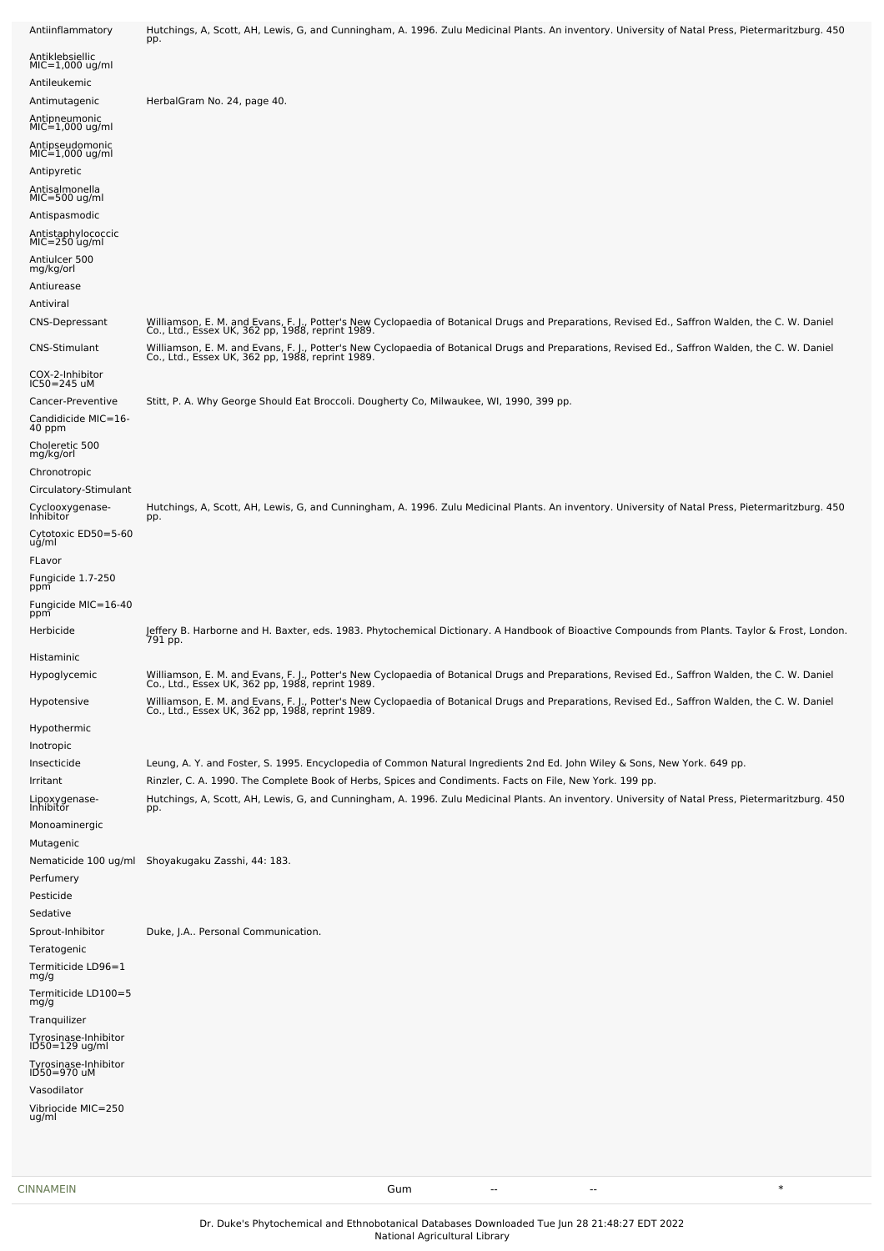| Antiinflammatory                      | Hutchings, A, Scott, AH, Lewis, G, and Cunningham, A. 1996. Zulu Medicinal Plants. An inventory. University of Natal Press, Pietermaritzburg. 450<br>pp.                                            |
|---------------------------------------|-----------------------------------------------------------------------------------------------------------------------------------------------------------------------------------------------------|
| Antiklebsiellic                       |                                                                                                                                                                                                     |
| MIC=1,000 ug/ml<br>Antileukemic       |                                                                                                                                                                                                     |
| Antimutagenic                         | HerbalGram No. 24, page 40.                                                                                                                                                                         |
| Antipneumonic                         |                                                                                                                                                                                                     |
| MIC=1,000 ug/ml<br>Antipseudomonic    |                                                                                                                                                                                                     |
| $MIC=1,000$ ug/ml                     |                                                                                                                                                                                                     |
| Antipyretic                           |                                                                                                                                                                                                     |
| Antisalmonella<br>$MIC=500$ ug/ml     |                                                                                                                                                                                                     |
| Antispasmodic                         |                                                                                                                                                                                                     |
| Antistaphylococcic<br>$MIC=250$ ug/ml |                                                                                                                                                                                                     |
| Antiulcer 500                         |                                                                                                                                                                                                     |
| mg/kg/orl<br>Antiurease               |                                                                                                                                                                                                     |
| Antiviral                             |                                                                                                                                                                                                     |
| <b>CNS-Depressant</b>                 | Williamson, E. M. and Evans, F. J., Potter's New Cyclopaedia of Botanical Drugs and Preparations, Revised Ed., Saffron Walden, the C. W. Daniel<br>Co., Ltd., Essex UK, 362 pp, 1988, reprint 1989. |
| CNS-Stimulant                         | Williamson, E. M. and Evans, F. J., Potter's New Cyclopaedia of Botanical Drugs and Preparations, Revised Ed., Saffron Walden, the C. W. Daniel<br>Co., Ltd., Essex UK, 362 pp, 1988, reprint 1989. |
| COX-2-Inhibitor<br>IC50=245 uM        |                                                                                                                                                                                                     |
| Cancer-Preventive                     | Stitt, P. A. Why George Should Eat Broccoli. Dougherty Co, Milwaukee, WI, 1990, 399 pp.                                                                                                             |
| Candidicide MIC=16-<br>40 ppm         |                                                                                                                                                                                                     |
| Choleretic 500<br>mg/kg/orl           |                                                                                                                                                                                                     |
| Chronotropic                          |                                                                                                                                                                                                     |
| Circulatory-Stimulant                 |                                                                                                                                                                                                     |
| Cyclooxygenase-<br>Inhibitor          | Hutchings, A, Scott, AH, Lewis, G, and Cunningham, A. 1996. Zulu Medicinal Plants. An inventory. University of Natal Press, Pietermaritzburg. 450<br>pp.                                            |
| Cytotoxic ED50=5-60<br>ug/ml          |                                                                                                                                                                                                     |
| FLavor<br>Fungicide 1.7-250<br>ppm    |                                                                                                                                                                                                     |
| Fungicide MIC=16-40<br>ppm            |                                                                                                                                                                                                     |
| Herbicide                             | Jeffery B. Harborne and H. Baxter, eds. 1983. Phytochemical Dictionary. A Handbook of Bioactive Compounds from Plants. Taylor & Frost, London.<br>791 pp.                                           |
| Histaminic                            |                                                                                                                                                                                                     |
| Hypoglycemic                          | Williamson, E. M. and Evans, F. J., Potter's New Cyclopaedia of Botanical Drugs and Preparations, Revised Ed., Saffron Walden, the C. W. Daniel<br>Co., Ltd., Essex UK, 362 pp, 1988, reprint 1989. |
| Hypotensive                           | Williamson, E. M. and Evans, F. J., Potter's New Cyclopaedia of Botanical Drugs and Preparations, Revised Ed., Saffron Walden, the C. W. Daniel<br>Co., Ltd., Essex UK, 362 pp, 1988, reprint 1989. |
| Hypothermic<br>Inotropic              |                                                                                                                                                                                                     |
| Insecticide                           | Leung, A. Y. and Foster, S. 1995. Encyclopedia of Common Natural Ingredients 2nd Ed. John Wiley & Sons, New York. 649 pp.                                                                           |
| Irritant                              | Rinzler, C. A. 1990. The Complete Book of Herbs, Spices and Condiments. Facts on File, New York. 199 pp.                                                                                            |
| Lipoxygenase-<br>Inhibitor            | Hutchings, A, Scott, AH, Lewis, G, and Cunningham, A. 1996. Zulu Medicinal Plants. An inventory. University of Natal Press, Pietermaritzburg. 450<br>pp.                                            |
| Monoaminergic<br>Mutagenic            |                                                                                                                                                                                                     |
| Nematicide 100 ug/ml<br>Perfumery     | Shoyakugaku Zasshi, 44: 183.                                                                                                                                                                        |
| Pesticide                             |                                                                                                                                                                                                     |
| Sedative                              |                                                                                                                                                                                                     |
| Sprout-Inhibitor<br>Teratogenic       | Duke, J.A Personal Communication.                                                                                                                                                                   |
| Termiticide LD96=1<br>mg/g            |                                                                                                                                                                                                     |
| Termiticide LD100=5                   |                                                                                                                                                                                                     |
| mg/g                                  |                                                                                                                                                                                                     |
| Tranquilizer<br>Tyrosinase-Inhibitor  |                                                                                                                                                                                                     |
| ID50=129 ug/ml                        |                                                                                                                                                                                                     |
| Tyrosinase-Inhibitor<br>ID50=970 uM   |                                                                                                                                                                                                     |
| Vasodilator                           |                                                                                                                                                                                                     |
| Vibriocide MIC=250<br>ug/ml           |                                                                                                                                                                                                     |
|                                       |                                                                                                                                                                                                     |
|                                       |                                                                                                                                                                                                     |

[CINNAMEIN](file:///phytochem/chemicals/show/5808) Gum -- -- \*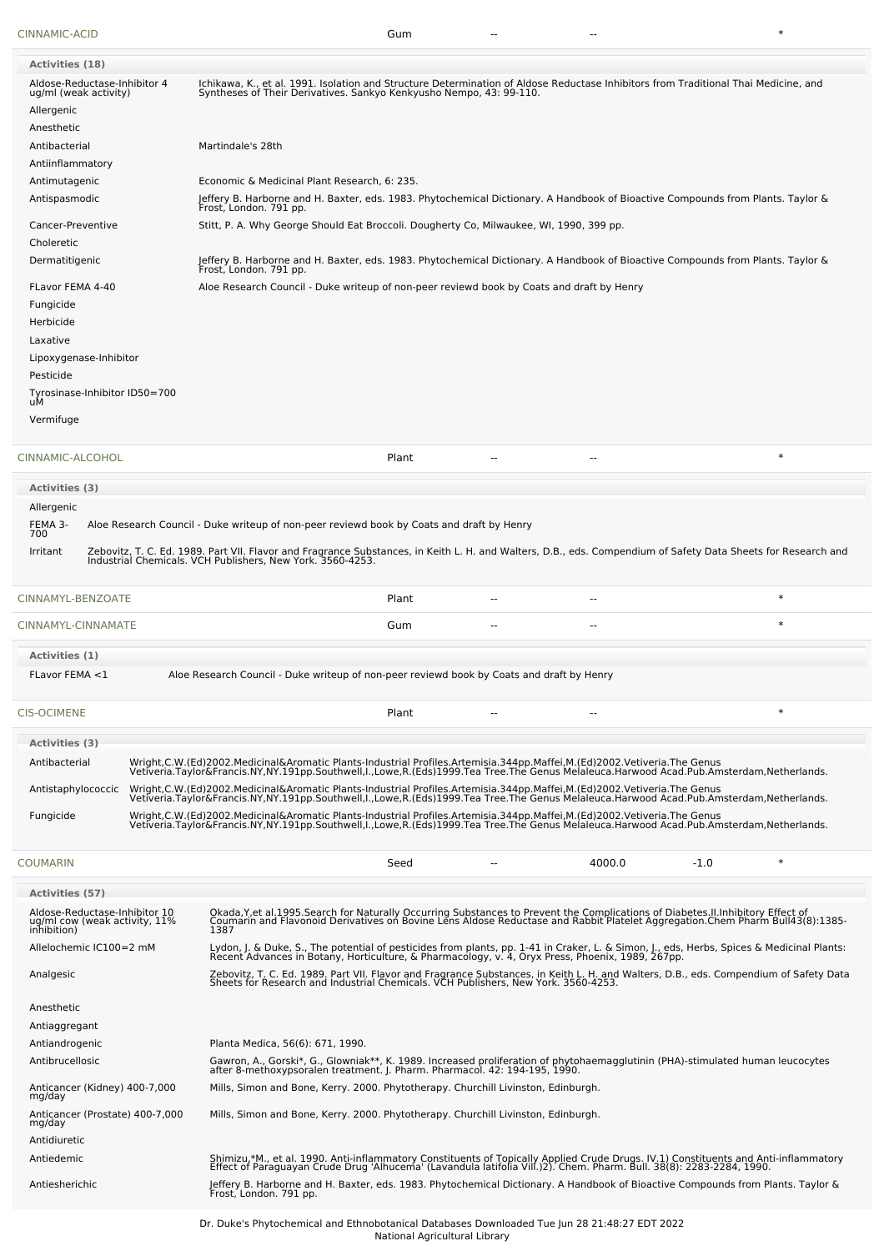Anticancer (Kidney) 400-7,000 mg/day

Antidiuretic

| CINNAMIC-ACID                                                                   | Gum                                                                                                                                                                                                                                       |
|---------------------------------------------------------------------------------|-------------------------------------------------------------------------------------------------------------------------------------------------------------------------------------------------------------------------------------------|
| <b>Activities (18)</b><br>Aldose-Reductase-Inhibitor 4<br>ug/ml (weak activity) | Ichikawa, K., et al. 1991. Isolation and Structure Determination of Aldose Reductase Inhibitors from Traditional Thai Medicine, and<br>Syntheses of Their Derivatives. Sankyo Kenkyusho Nempo, 43: 99-110.                                |
| Allergenic<br>Anesthetic<br>Antibacterial                                       | Martindale's 28th                                                                                                                                                                                                                         |
| Antiinflammatory                                                                |                                                                                                                                                                                                                                           |
| Antimutagenic                                                                   | Economic & Medicinal Plant Research, 6: 235.                                                                                                                                                                                              |
| Antispasmodic                                                                   | Jeffery B. Harborne and H. Baxter, eds. 1983. Phytochemical Dictionary. A Handbook of Bioactive Compounds from Plants. Taylor &<br>Frost, London. 791 pp.                                                                                 |
| Cancer-Preventive                                                               | Stitt, P. A. Why George Should Eat Broccoli. Dougherty Co, Milwaukee, WI, 1990, 399 pp.                                                                                                                                                   |
| Choleretic<br>Dermatitigenic                                                    | Jeffery B. Harborne and H. Baxter, eds. 1983. Phytochemical Dictionary. A Handbook of Bioactive Compounds from Plants. Taylor &                                                                                                           |
|                                                                                 | Frost, London. 791 pp.                                                                                                                                                                                                                    |
| FLavor FEMA 4-40<br>Fungicide                                                   | Aloe Research Council - Duke writeup of non-peer reviewd book by Coats and draft by Henry                                                                                                                                                 |
| Herbicide                                                                       |                                                                                                                                                                                                                                           |
| Laxative                                                                        |                                                                                                                                                                                                                                           |
| Lipoxygenase-Inhibitor                                                          |                                                                                                                                                                                                                                           |
| Pesticide<br>Tyrosinase-Inhibitor ID50=700                                      |                                                                                                                                                                                                                                           |
| uМ                                                                              |                                                                                                                                                                                                                                           |
| Vermifuge                                                                       |                                                                                                                                                                                                                                           |
| CINNAMIC-ALCOHOL                                                                | $\ast$<br>Plant                                                                                                                                                                                                                           |
| <b>Activities</b> (3)                                                           |                                                                                                                                                                                                                                           |
| Allergenic                                                                      |                                                                                                                                                                                                                                           |
| FEMA 3-<br>700                                                                  | Aloe Research Council - Duke writeup of non-peer reviewd book by Coats and draft by Henry                                                                                                                                                 |
| Irritant                                                                        | Zebovitz, T. C. Ed. 1989. Part VII. Flavor and Fragrance Substances, in Keith L. H. and Walters, D.B., eds. Compendium of Safety Data Sheets for Research and<br>Industrial Chemicals. VCH Publishers, New York. 3560-4253.               |
| CINNAMYL-BENZOATE                                                               | $\ast$<br>Plant                                                                                                                                                                                                                           |
| CINNAMYL-CINNAMATE                                                              | $\ast$<br>Gum                                                                                                                                                                                                                             |
| <b>Activities (1)</b>                                                           |                                                                                                                                                                                                                                           |
| FLavor FEMA <1                                                                  | Aloe Research Council - Duke writeup of non-peer reviewd book by Coats and draft by Henry                                                                                                                                                 |
| CIS-OCIMENE                                                                     | $\ast$<br>Plant<br>--                                                                                                                                                                                                                     |
| Activities (3)                                                                  |                                                                                                                                                                                                                                           |
| Antibacterial                                                                   | Wright,C.W.(Ed)2002.Medicinal&Aromatic Plants-Industrial Profiles.Artemisia.344pp.Maffei,M.(Ed)2002.Vetiveria.The Genus<br>Vetiveria.Taylor&Francis.NY,NY.191pp.Southwell,I.,Lowe,R.(Eds)1999.Tea Tree.The Genus Melaleuca.Harwoo         |
| Antistaphylococcic                                                              | Wright,C.W.(Ed)2002.Medicinal&Aromatic Plants-Industrial Profiles.Artemisia.344pp.Maffei,M.(Ed)2002.Vetiveria.The Genus<br>Vetiveria.Taylor&Francis.NY,NY.191pp.Southwell,I.,Lowe,R.(Eds)1999.Tea Tree.The Genus Melaleuca.Harwoo         |
| Fungicide                                                                       | Wright,C.W.(Ed)2002.Medicinal&Aromatic Plants-Industrial Profiles.Artemisia.344pp.Maffei,M.(Ed)2002.Vetiveria.The Genus<br>Vetiveria.Taylor&Francis.NY,NY.191pp.Southwell,I.,Lowe,R.(Eds)1999.Tea Tree.The Genus Melaleuca.Harwoo         |
| COUMARIN                                                                        | $\ast$<br>4000.0<br>$-1.0$<br>Seed                                                                                                                                                                                                        |
| <b>Activities (57)</b>                                                          |                                                                                                                                                                                                                                           |
| Aldose-Reductase-Inhibitor 10<br>ug/ml cow (weak activity, 11%<br>inhibition)   | Okada, Y, et al. 1995. Search for Naturally Occurring Substances to Prevent the Complications of Diabetes. II. Inhibitory Effect of<br>Coumarin and Flavonoid Derivatives on Bovine Lens Aldose Reductase and Rabbit Platelet Agg<br>1387 |
| Allelochemic IC100=2 mM                                                         | Lydon, J. & Duke, S., The potential of pesticides from plants, pp. 1-41 in Craker, L. & Simon, J., eds, Herbs, Spices & Medicinal Plants:<br>Recent Advances in Botany, Horticulture, & Pharmacology, v. 4, Oryx Press, Phoenix,          |
| Analgesic                                                                       | Zebovitz, T. C. Ed. 1989. Part VII. Flavor and Fragrance Substances, in Keith L. H. and Walters, D.B., eds. Compendium of Safety Data<br>Sheets for Research and Industrial Chemicals. VCH Publishers, New York. 3560-4253.               |
| Anesthetic                                                                      |                                                                                                                                                                                                                                           |
| Antiaggregant                                                                   |                                                                                                                                                                                                                                           |
| Antiandrogenic                                                                  | Planta Medica, 56(6): 671, 1990.                                                                                                                                                                                                          |
| Antibrucellosic                                                                 | Gawron, A., Gorski*, G., Glowniak**, K. 1989. Increased proliferation of phytohaemagglutinin (PHA)-stimulated human leucocytes<br>after 8-methoxypsoralen treatment. J. Pharm. Pharmacol. 42: 194-195, 1990.                              |

Mills, Simon and Bone, Kerry. 2000. Phytotherapy. Churchill Livinston, Edinburgh.

Anticancer (Prostate) 400-7,000 mg/day Mills, Simon and Bone, Kerry. 2000. Phytotherapy. Churchill Livinston, Edinburgh.

Antiedemic Shimizu,\*M., et al. 1990. Anti-inflammatory Constituents of Topically Applied Crude Drugs. IV.1) Constituents and Anti-inflammatory Constituents and Anti-inflammatory Constituents and Anti-inflammatory Effect of Antiesherichic Jeffery B. Harborne and H. Baxter, eds. 1983. Phytochemical Dictionary. A Handbook of Bioactive Compounds from Plants. Taylor & Frost, London. 791 pp.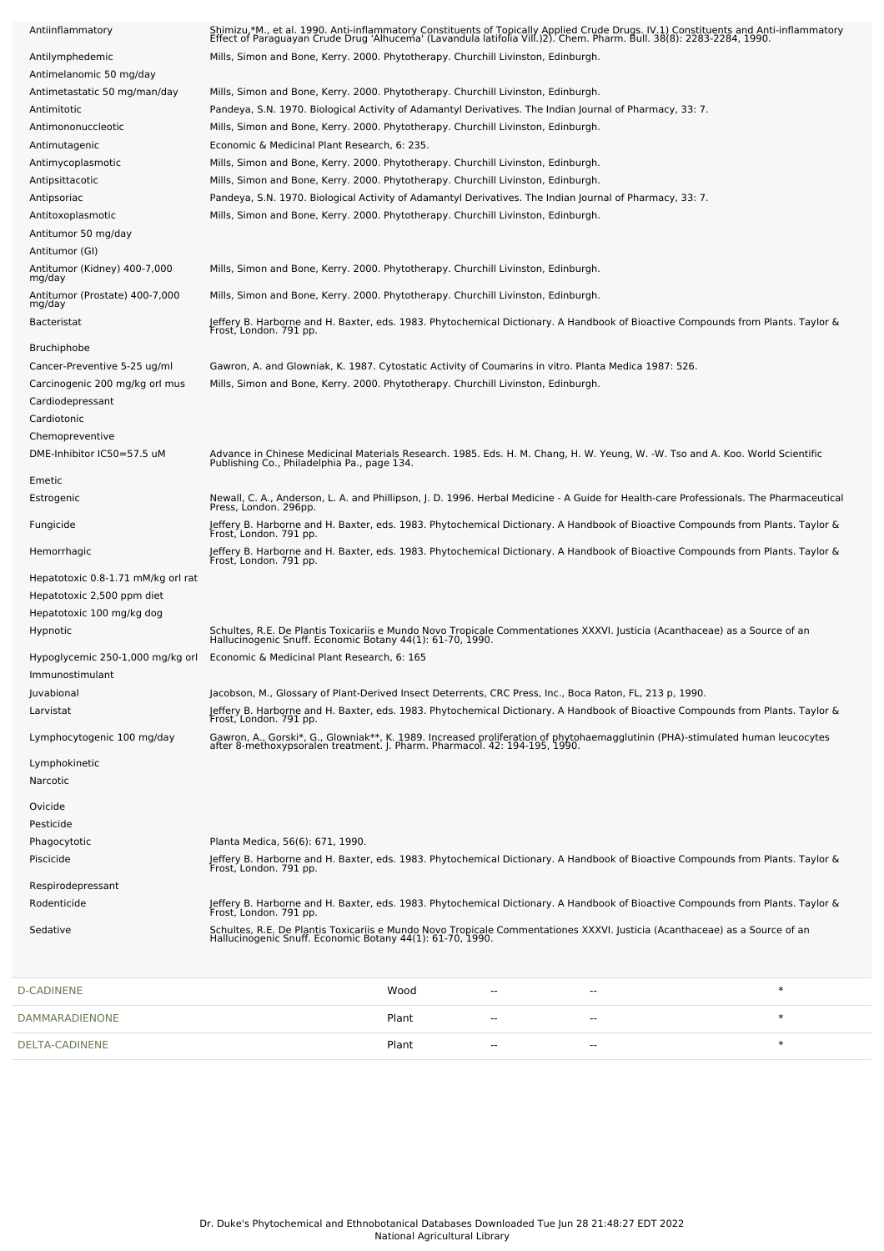| Antiinflammatory                         | Shimizu,*M., et al. 1990. Anti-inflammatory Constituents of Topically Applied Crude Drugs. IV.1) Constituents and Anti-inflammatory<br>Effect of Paraguayan Crude Drug 'Alhucema' (Lavandula latifolia Vill.)2). Chem. Pharm. Bul |  |     |        |
|------------------------------------------|-----------------------------------------------------------------------------------------------------------------------------------------------------------------------------------------------------------------------------------|--|-----|--------|
| Antilymphedemic                          | Mills, Simon and Bone, Kerry. 2000. Phytotherapy. Churchill Livinston, Edinburgh.                                                                                                                                                 |  |     |        |
| Antimelanomic 50 mg/day                  |                                                                                                                                                                                                                                   |  |     |        |
| Antimetastatic 50 mg/man/day             | Mills, Simon and Bone, Kerry. 2000. Phytotherapy. Churchill Livinston, Edinburgh.                                                                                                                                                 |  |     |        |
| Antimitotic                              | Pandeya, S.N. 1970. Biological Activity of Adamantyl Derivatives. The Indian Journal of Pharmacy, 33: 7.                                                                                                                          |  |     |        |
| Antimononuccleotic                       | Mills, Simon and Bone, Kerry. 2000. Phytotherapy. Churchill Livinston, Edinburgh.                                                                                                                                                 |  |     |        |
| Antimutagenic                            | Economic & Medicinal Plant Research, 6: 235.                                                                                                                                                                                      |  |     |        |
| Antimycoplasmotic                        | Mills, Simon and Bone, Kerry. 2000. Phytotherapy. Churchill Livinston, Edinburgh.                                                                                                                                                 |  |     |        |
| Antipsittacotic                          | Mills, Simon and Bone, Kerry. 2000. Phytotherapy. Churchill Livinston, Edinburgh.                                                                                                                                                 |  |     |        |
| Antipsoriac                              | Pandeya, S.N. 1970. Biological Activity of Adamantyl Derivatives. The Indian Journal of Pharmacy, 33: 7.                                                                                                                          |  |     |        |
| Antitoxoplasmotic                        | Mills, Simon and Bone, Kerry. 2000. Phytotherapy. Churchill Livinston, Edinburgh.                                                                                                                                                 |  |     |        |
| Antitumor 50 mg/day                      |                                                                                                                                                                                                                                   |  |     |        |
| Antitumor (GI)                           |                                                                                                                                                                                                                                   |  |     |        |
| Antitumor (Kidney) 400-7,000<br>mg/day   | Mills, Simon and Bone, Kerry. 2000. Phytotherapy. Churchill Livinston, Edinburgh.                                                                                                                                                 |  |     |        |
| Antitumor (Prostate) 400-7,000<br>mg/day | Mills, Simon and Bone, Kerry. 2000. Phytotherapy. Churchill Livinston, Edinburgh.                                                                                                                                                 |  |     |        |
| <b>Bacteristat</b>                       | Jeffery B. Harborne and H. Baxter, eds. 1983. Phytochemical Dictionary. A Handbook of Bioactive Compounds from Plants. Taylor &<br>Frost, London. 791 pp.                                                                         |  |     |        |
| <b>Bruchiphobe</b>                       |                                                                                                                                                                                                                                   |  |     |        |
| Cancer-Preventive 5-25 ug/ml             | Gawron, A. and Glowniak, K. 1987. Cytostatic Activity of Coumarins in vitro. Planta Medica 1987: 526.                                                                                                                             |  |     |        |
| Carcinogenic 200 mg/kg orl mus           | Mills, Simon and Bone, Kerry. 2000. Phytotherapy. Churchill Livinston, Edinburgh.                                                                                                                                                 |  |     |        |
| Cardiodepressant                         |                                                                                                                                                                                                                                   |  |     |        |
| Cardiotonic                              |                                                                                                                                                                                                                                   |  |     |        |
| Chemopreventive                          |                                                                                                                                                                                                                                   |  |     |        |
| DME-Inhibitor IC50=57.5 uM               | Advance in Chinese Medicinal Materials Research. 1985. Eds. H. M. Chang, H. W. Yeung, W. -W. Tso and A. Koo. World Scientific<br>Publishing Co., Philadelphia Pa., page 134.                                                      |  |     |        |
| Emetic                                   |                                                                                                                                                                                                                                   |  |     |        |
| Estrogenic                               | Newall, C. A., Anderson, L. A. and Phillipson, J. D. 1996. Herbal Medicine - A Guide for Health-care Professionals. The Pharmaceutical<br>Press, London. 296pp.                                                                   |  |     |        |
| Fungicide                                | Jeffery B. Harborne and H. Baxter, eds. 1983. Phytochemical Dictionary. A Handbook of Bioactive Compounds from Plants. Taylor &<br>Frost, London. 791 pp.                                                                         |  |     |        |
| Hemorrhagic                              | Jeffery B. Harborne and H. Baxter, eds. 1983. Phytochemical Dictionary. A Handbook of Bioactive Compounds from Plants. Taylor &<br>Frost, London. 791 pp.                                                                         |  |     |        |
| Hepatotoxic 0.8-1.71 mM/kg orl rat       |                                                                                                                                                                                                                                   |  |     |        |
| Hepatotoxic 2,500 ppm diet               |                                                                                                                                                                                                                                   |  |     |        |
| Hepatotoxic 100 mg/kg dog                |                                                                                                                                                                                                                                   |  |     |        |
| Hypnotic                                 | Schultes, R.E. De Plantis Toxicariis e Mundo Novo Tropicale Commentationes XXXVI. Justicia (Acanthaceae) as a Source of an<br>Hallucinogenic Snuff. Economic Botany 44(1): 61-70, 1990.                                           |  |     |        |
| Immunostimulant                          | Hypoglycemic 250-1,000 mg/kg orl Economic & Medicinal Plant Research, 6: 165                                                                                                                                                      |  |     |        |
| Juvabional                               | Jacobson, M., Glossary of Plant-Derived Insect Deterrents, CRC Press, Inc., Boca Raton, FL, 213 p, 1990.                                                                                                                          |  |     |        |
| Larvistat                                |                                                                                                                                                                                                                                   |  |     |        |
| Lymphocytogenic 100 mg/day               | Jeffery B. Harborne and H. Baxter, eds. 1983. Phytochemical Dictionary. A Handbook of Bioactive Compounds from Plants. Taylor &<br>Frost, London. 791 pp.                                                                         |  |     |        |
|                                          | Gawron, A., Gorski*, G., Glowniak**, K. 1989. Increased proliferation of phytohaemagglutinin (PHA)-stimulated human leucocytes<br>after 8-methoxypsoralen treatment. J. Pharm. Pharmacol. 42: 194-195, 1990.                      |  |     |        |
| Lymphokinetic<br>Narcotic                |                                                                                                                                                                                                                                   |  |     |        |
| Ovicide                                  |                                                                                                                                                                                                                                   |  |     |        |
| Pesticide                                |                                                                                                                                                                                                                                   |  |     |        |
| Phagocytotic                             | Planta Medica, 56(6): 671, 1990.                                                                                                                                                                                                  |  |     |        |
| Piscicide                                | Jeffery B. Harborne and H. Baxter, eds. 1983. Phytochemical Dictionary. A Handbook of Bioactive Compounds from Plants. Taylor &<br>Frost, London. 791 pp.                                                                         |  |     |        |
| Respirodepressant                        |                                                                                                                                                                                                                                   |  |     |        |
| Rodenticide                              | Jeffery B. Harborne and H. Baxter, eds. 1983. Phytochemical Dictionary. A Handbook of Bioactive Compounds from Plants. Taylor &                                                                                                   |  |     |        |
| Sedative                                 | Frost, London. 791 pp.<br>Schultes, R.E. De Plantis Toxicariis e Mundo Novo Tropicale Commentationes XXXVI. Justicia (Acanthaceae) as a Source of an<br>Hallucinogenic Snuff. Economic Botany 44(1): 61-70, 1990.                 |  |     |        |
|                                          |                                                                                                                                                                                                                                   |  |     |        |
| D-CADINENE                               | Wood                                                                                                                                                                                                                              |  | н.  | $\ast$ |
| DAMMARADIENONE                           | Plant                                                                                                                                                                                                                             |  | $-$ | $\ast$ |
| DELTA-CADINENE                           | Plant                                                                                                                                                                                                                             |  |     | $\ast$ |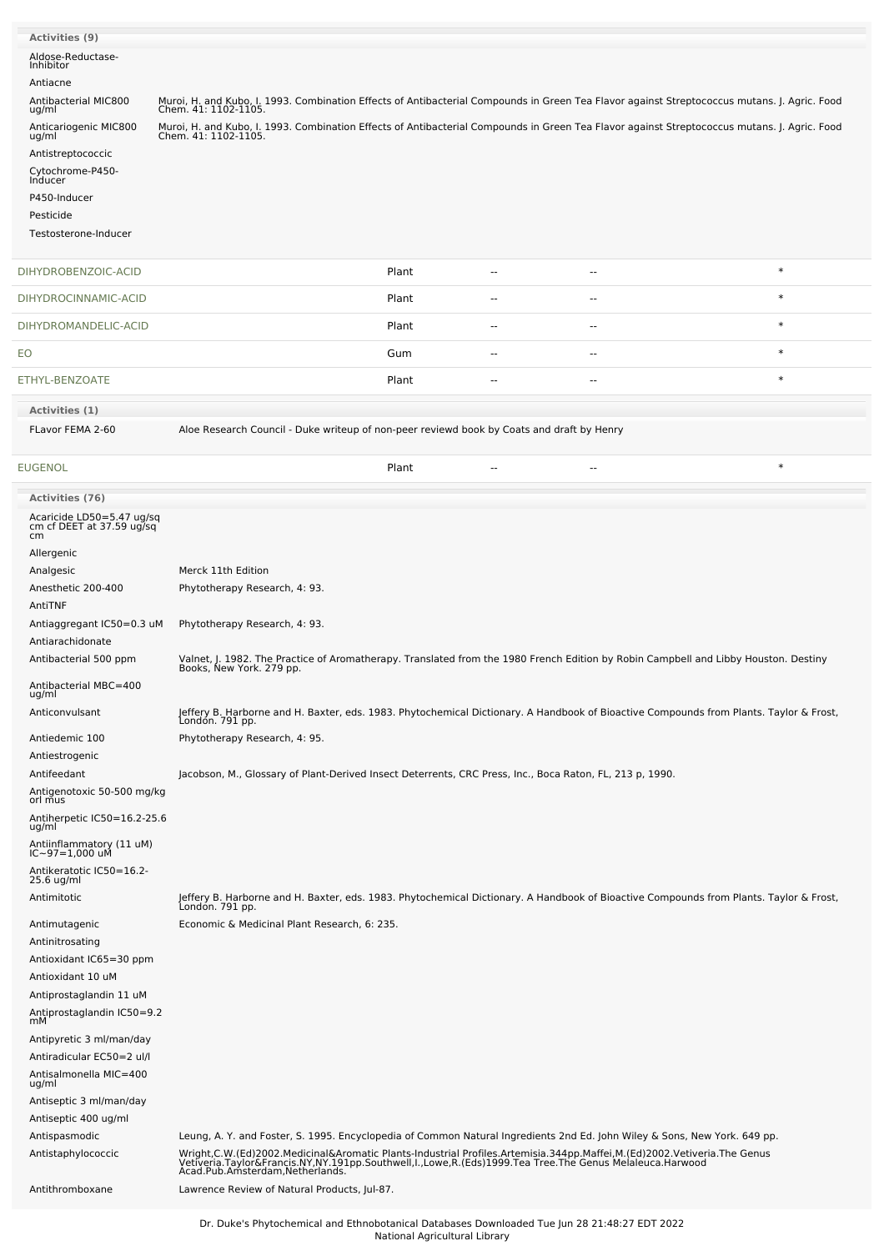| <b>Activities</b> (9)<br>Aldose-Reductase-<br>Inhibitor<br>Antiacne |                                                                                                                                                                                                                                                                      |       |    |        |        |
|---------------------------------------------------------------------|----------------------------------------------------------------------------------------------------------------------------------------------------------------------------------------------------------------------------------------------------------------------|-------|----|--------|--------|
| Antibacterial MIC800<br>ug/ml                                       | Muroi, H. and Kubo, I. 1993. Combination Effects of Antibacterial Compounds in Green Tea Flavor against Streptococcus mutans. J. Agric. Food<br>Chem. 41: 1102-1105.                                                                                                 |       |    |        |        |
| Anticariogenic MIC800                                               | Muroi, H. and Kubo, I. 1993. Combination Effects of Antibacterial Compounds in Green Tea Flavor against Streptococcus mutans. J. Agric. Food                                                                                                                         |       |    |        |        |
| ug/ml<br>Antistreptococcic                                          | Chem. 41: 1102-1105.                                                                                                                                                                                                                                                 |       |    |        |        |
| Cytochrome-P450-                                                    |                                                                                                                                                                                                                                                                      |       |    |        |        |
| Inducer                                                             |                                                                                                                                                                                                                                                                      |       |    |        |        |
| P450-Inducer                                                        |                                                                                                                                                                                                                                                                      |       |    |        |        |
| Pesticide                                                           |                                                                                                                                                                                                                                                                      |       |    |        |        |
| Testosterone-Inducer                                                |                                                                                                                                                                                                                                                                      |       |    |        |        |
| DIHYDROBENZOIC-ACID                                                 |                                                                                                                                                                                                                                                                      | Plant | ц, | $\sim$ | $\ast$ |
| DIHYDROCINNAMIC-ACID                                                |                                                                                                                                                                                                                                                                      | Plant |    |        | $\ast$ |
| DIHYDROMANDELIC-ACID                                                |                                                                                                                                                                                                                                                                      | Plant | ۵. | ۰.     | $\ast$ |
| EО                                                                  |                                                                                                                                                                                                                                                                      | Gum   | -- | --     | $\ast$ |
| ETHYL-BENZOATE                                                      |                                                                                                                                                                                                                                                                      | Plant | ۵. | --     | $\ast$ |
| Activities (1)                                                      |                                                                                                                                                                                                                                                                      |       |    |        |        |
| FLavor FEMA 2-60                                                    | Aloe Research Council - Duke writeup of non-peer reviewd book by Coats and draft by Henry                                                                                                                                                                            |       |    |        |        |
| EUGENOL                                                             |                                                                                                                                                                                                                                                                      | Plant | Ξ. | --     | $\ast$ |
| <b>Activities (76)</b>                                              |                                                                                                                                                                                                                                                                      |       |    |        |        |
| Acaricide LD50=5.47 ug/sq<br>cm cf DEET at 37.59 ug/sq              |                                                                                                                                                                                                                                                                      |       |    |        |        |
| cm<br>Allergenic                                                    |                                                                                                                                                                                                                                                                      |       |    |        |        |
| Analgesic                                                           | Merck 11th Edition                                                                                                                                                                                                                                                   |       |    |        |        |
| Anesthetic 200-400                                                  | Phytotherapy Research, 4: 93.                                                                                                                                                                                                                                        |       |    |        |        |
| AntiTNF                                                             |                                                                                                                                                                                                                                                                      |       |    |        |        |
| Antiaggregant IC50=0.3 uM<br>Antiarachidonate                       | Phytotherapy Research, 4: 93.                                                                                                                                                                                                                                        |       |    |        |        |
| Antibacterial 500 ppm                                               | Valnet, J. 1982. The Practice of Aromatherapy. Translated from the 1980 French Edition by Robin Campbell and Libby Houston. Destiny<br>Books, New York. 279 pp.                                                                                                      |       |    |        |        |
| Antibacterial MBC=400                                               |                                                                                                                                                                                                                                                                      |       |    |        |        |
| ug/ml<br>Anticonvulsant                                             | Jeffery B. Harborne and H. Baxter, eds. 1983. Phytochemical Dictionary. A Handbook of Bioactive Compounds from Plants. Taylor & Frost,<br>Londón. 791 pp.                                                                                                            |       |    |        |        |
| Antiedemic 100                                                      | Phytotherapy Research, 4: 95.                                                                                                                                                                                                                                        |       |    |        |        |
| Antiestrogenic                                                      |                                                                                                                                                                                                                                                                      |       |    |        |        |
| Antifeedant                                                         | Jacobson, M., Glossary of Plant-Derived Insect Deterrents, CRC Press, Inc., Boca Raton, FL, 213 p, 1990.                                                                                                                                                             |       |    |        |        |
| Antigenotoxic 50-500 mg/kg<br>orl mus                               |                                                                                                                                                                                                                                                                      |       |    |        |        |
| Antiherpetic IC50=16.2-25.6<br>ug/ml                                |                                                                                                                                                                                                                                                                      |       |    |        |        |
| Antiinflammatory (11 uM)<br>IC~97=1,000 uM                          |                                                                                                                                                                                                                                                                      |       |    |        |        |
| Antikeratotic IC50=16.2-<br>25.6 ug/ml                              |                                                                                                                                                                                                                                                                      |       |    |        |        |
| Antimitotic                                                         | Jeffery B. Harborne and H. Baxter, eds. 1983. Phytochemical Dictionary. A Handbook of Bioactive Compounds from Plants. Taylor & Frost,<br>Londón. 791 pp.                                                                                                            |       |    |        |        |
| Antimutagenic                                                       | Economic & Medicinal Plant Research, 6: 235.                                                                                                                                                                                                                         |       |    |        |        |
| Antinitrosating                                                     |                                                                                                                                                                                                                                                                      |       |    |        |        |
| Antioxidant IC65=30 ppm                                             |                                                                                                                                                                                                                                                                      |       |    |        |        |
| Antioxidant 10 uM                                                   |                                                                                                                                                                                                                                                                      |       |    |        |        |
| Antiprostaglandin 11 uM                                             |                                                                                                                                                                                                                                                                      |       |    |        |        |
| Antiprostaglandin IC50=9.2<br>mМ                                    |                                                                                                                                                                                                                                                                      |       |    |        |        |
| Antipyretic 3 ml/man/day<br>Antiradicular EC50=2 ul/l               |                                                                                                                                                                                                                                                                      |       |    |        |        |
| Antisalmonella MIC=400<br>ug/ml                                     |                                                                                                                                                                                                                                                                      |       |    |        |        |
| Antiseptic 3 ml/man/day                                             |                                                                                                                                                                                                                                                                      |       |    |        |        |
| Antiseptic 400 ug/ml                                                |                                                                                                                                                                                                                                                                      |       |    |        |        |
| Antispasmodic                                                       | Leung, A. Y. and Foster, S. 1995. Encyclopedia of Common Natural Ingredients 2nd Ed. John Wiley & Sons, New York. 649 pp.                                                                                                                                            |       |    |        |        |
| Antistaphylococcic                                                  | Wright,C.W.(Ed)2002.Medicinal&Aromatic Plants-Industrial Profiles.Artemisia.344pp.Maffei,M.(Ed)2002.Vetiveria.The Genus<br>Vetiveria.Taylor&Francis.NY,NY.191pp.Southwell,I.,Lowe,R.(Eds)1999.Tea Tree.The Genus Melaleuca.Harwoo<br>Acad.Pub.Amsterdam,Netherlands. |       |    |        |        |
| Antithromboxane                                                     | Lawrence Review of Natural Products, Jul-87.                                                                                                                                                                                                                         |       |    |        |        |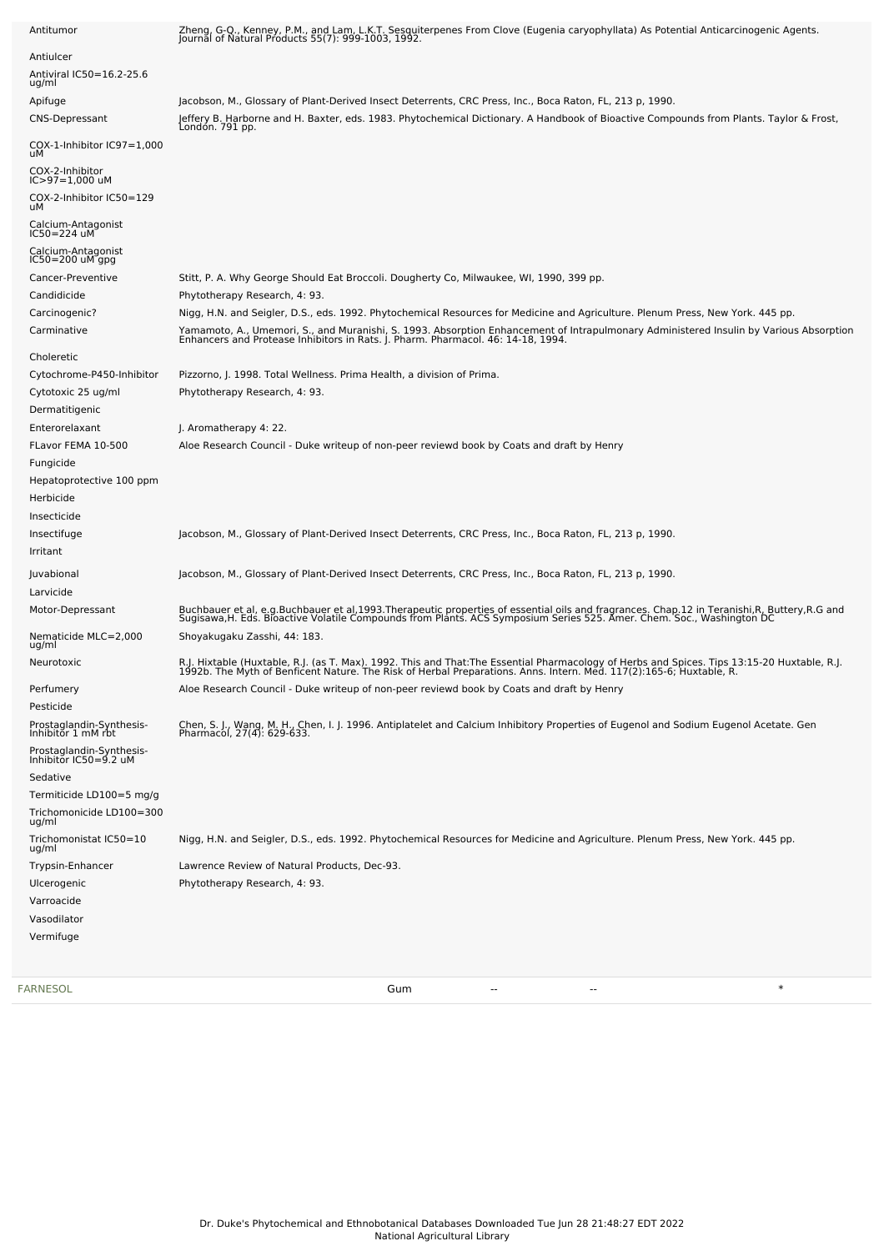| Antitumor                                         | Zheng, G.Q., Kenney, P.M., and Lam, L.K.T. Sesquiterpenes From Clove (Eugenia caryophyllata) As Potential Anticarcinogenic Agents.<br>Journal of Natural Products 55(7): 999-1003, 1992.                                          |
|---------------------------------------------------|-----------------------------------------------------------------------------------------------------------------------------------------------------------------------------------------------------------------------------------|
| Antiulcer<br>Antiviral IC50=16.2-25.6<br>ug/ml    |                                                                                                                                                                                                                                   |
| Apifuge                                           | Jacobson, M., Glossary of Plant-Derived Insect Deterrents, CRC Press, Inc., Boca Raton, FL, 213 p, 1990.                                                                                                                          |
| <b>CNS-Depressant</b>                             | Jeffery B. Harborne and H. Baxter, eds. 1983. Phytochemical Dictionary. A Handbook of Bioactive Compounds from Plants. Taylor & Frost,<br>Londón. 791 pp.                                                                         |
| COX-1-Inhibitor IC97=1,000<br>uМ                  |                                                                                                                                                                                                                                   |
| COX-2-Inhibitor<br>IC>97=1,000 uM                 |                                                                                                                                                                                                                                   |
| COX-2-Inhibitor IC50=129<br>uМ                    |                                                                                                                                                                                                                                   |
| Calcium-Antagonist<br>IC50=224 uM                 |                                                                                                                                                                                                                                   |
| Calcium-Antagonist<br>IC50=200 uM gpg             |                                                                                                                                                                                                                                   |
| Cancer-Preventive                                 | Stitt, P. A. Why George Should Eat Broccoli. Dougherty Co, Milwaukee, WI, 1990, 399 pp.                                                                                                                                           |
| Candidicide                                       | Phytotherapy Research, 4: 93.                                                                                                                                                                                                     |
| Carcinogenic?                                     | Nigg, H.N. and Seigler, D.S., eds. 1992. Phytochemical Resources for Medicine and Agriculture. Plenum Press, New York. 445 pp.                                                                                                    |
| Carminative                                       | Yamamoto, A., Umemori, S., and Muranishi, S. 1993. Absorption Enhancement of Intrapulmonary Administered Insulin by Various Absorption<br>Enhancers and Protease Inhibitors in Rats. J. Pharm. Pharmacol. 46: 14-18, 1994.        |
| Choleretic                                        |                                                                                                                                                                                                                                   |
| Cytochrome-P450-Inhibitor                         | Pizzorno, J. 1998. Total Wellness. Prima Health, a division of Prima.                                                                                                                                                             |
| Cytotoxic 25 ug/ml                                | Phytotherapy Research, 4: 93.                                                                                                                                                                                                     |
| Dermatitigenic                                    |                                                                                                                                                                                                                                   |
| Enterorelaxant                                    | J. Aromatherapy 4: 22.                                                                                                                                                                                                            |
| FLavor FEMA 10-500                                | Aloe Research Council - Duke writeup of non-peer reviewd book by Coats and draft by Henry                                                                                                                                         |
| Fungicide                                         |                                                                                                                                                                                                                                   |
| Hepatoprotective 100 ppm                          |                                                                                                                                                                                                                                   |
| Herbicide                                         |                                                                                                                                                                                                                                   |
| Insecticide                                       |                                                                                                                                                                                                                                   |
| Insectifuge                                       | Jacobson, M., Glossary of Plant-Derived Insect Deterrents, CRC Press, Inc., Boca Raton, FL, 213 p, 1990.                                                                                                                          |
| Irritant                                          |                                                                                                                                                                                                                                   |
|                                                   |                                                                                                                                                                                                                                   |
| Juvabional                                        | Jacobson, M., Glossary of Plant-Derived Insect Deterrents, CRC Press, Inc., Boca Raton, FL, 213 p, 1990.                                                                                                                          |
| Larvicide                                         |                                                                                                                                                                                                                                   |
| Motor-Depressant                                  | Buchbauer et al, e.g.Buchbauer et al,1993.Therapeutic properties of essential oils and fragrances. Chap.12 in Teranishi,R, Buttery,R.G and<br>Sugisawa,H. Eds. Bioactive Volatile Compounds from Plants. ACS Symposium Series 525 |
| Nematicide MLC=2,000<br>ug/ml                     | Shoyakugaku Zasshi, 44: 183.                                                                                                                                                                                                      |
| Neurotoxic                                        | R.J. Hixtable (Huxtable, R.J. (as T. Max). 1992. This and That:The Essential Pharmacology of Herbs and Spices. Tips 13:15-20 Huxtable, R.J.<br>1992b. The Myth of Benficent Nature. The Risk of Herbal Preparations. Anns. Intern |
| Perfumery                                         | Aloe Research Council - Duke writeup of non-peer reviewd book by Coats and draft by Henry                                                                                                                                         |
| Pesticide                                         |                                                                                                                                                                                                                                   |
| Prostaglandin-Synthesis-<br>Inhibitor 1 mM rbt    | Chen, S. J., Wang, M. H., Chen, I. J. 1996. Antiplatelet and Calcium Inhibitory Properties of Eugenol and Sodium Eugenol Acetate. Gen<br>Pharmacol, 27(4): 629-633.                                                               |
| Prostaglandin-Synthesis-<br>Inhibitor IC50=9.2 uM |                                                                                                                                                                                                                                   |
| Sedative                                          |                                                                                                                                                                                                                                   |
| Termiticide LD100=5 mg/g                          |                                                                                                                                                                                                                                   |
| Trichomonicide LD100=300<br>ug/ml                 |                                                                                                                                                                                                                                   |
| Trichomonistat IC50=10<br>ug/ml                   | Nigg, H.N. and Seigler, D.S., eds. 1992. Phytochemical Resources for Medicine and Agriculture. Plenum Press, New York. 445 pp.                                                                                                    |
| Trypsin-Enhancer                                  | Lawrence Review of Natural Products, Dec-93.                                                                                                                                                                                      |
| Ulcerogenic                                       | Phytotherapy Research, 4: 93.                                                                                                                                                                                                     |
| Varroacide                                        |                                                                                                                                                                                                                                   |
| Vasodilator                                       |                                                                                                                                                                                                                                   |
| Vermifuge                                         |                                                                                                                                                                                                                                   |
|                                                   |                                                                                                                                                                                                                                   |
|                                                   |                                                                                                                                                                                                                                   |

[FARNESOL](file:///phytochem/chemicals/show/8405) Gum -- -- \*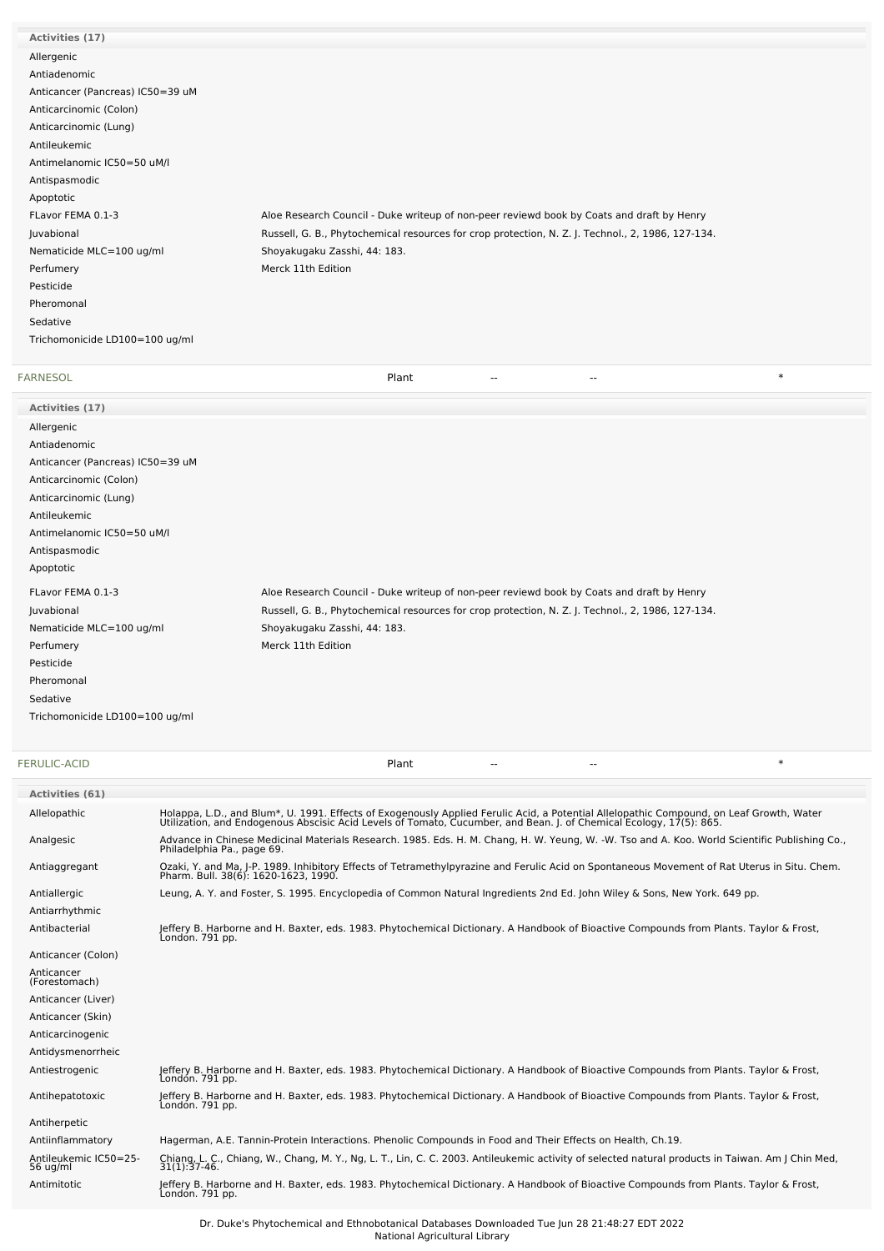| <b>FARNESOL</b>                  | $\ast$<br>Plant<br>--<br>--                                                                       |
|----------------------------------|---------------------------------------------------------------------------------------------------|
| Trichomonicide LD100=100 ug/ml   |                                                                                                   |
| Sedative                         |                                                                                                   |
| Pheromonal                       |                                                                                                   |
| Pesticide                        |                                                                                                   |
| Perfumery                        | Merck 11th Edition                                                                                |
| Nematicide MLC=100 ug/ml         | Shoyakugaku Zasshi, 44: 183.                                                                      |
| Juvabional                       | Russell, G. B., Phytochemical resources for crop protection, N. Z. J. Technol., 2, 1986, 127-134. |
| FLavor FEMA 0.1-3                | Aloe Research Council - Duke writeup of non-peer reviewd book by Coats and draft by Henry         |
| Apoptotic                        |                                                                                                   |
| Antispasmodic                    |                                                                                                   |
| Antimelanomic IC50=50 uM/l       |                                                                                                   |
| Antileukemic                     |                                                                                                   |
| Anticarcinomic (Lung)            |                                                                                                   |
| Anticarcinomic (Colon)           |                                                                                                   |
| Anticancer (Pancreas) IC50=39 uM |                                                                                                   |
| Antiadenomic                     |                                                                                                   |
| Allergenic                       |                                                                                                   |
| Activities (17)                  |                                                                                                   |

| Activities (17)                  |                                                                                                   |
|----------------------------------|---------------------------------------------------------------------------------------------------|
| Allergenic                       |                                                                                                   |
| Antiadenomic                     |                                                                                                   |
| Anticancer (Pancreas) IC50=39 uM |                                                                                                   |
| Anticarcinomic (Colon)           |                                                                                                   |
| Anticarcinomic (Lung)            |                                                                                                   |
| Antileukemic                     |                                                                                                   |
| Antimelanomic IC50=50 uM/l       |                                                                                                   |
| Antispasmodic                    |                                                                                                   |
| Apoptotic                        |                                                                                                   |
| FLavor FEMA 0.1-3                | Aloe Research Council - Duke writeup of non-peer reviewd book by Coats and draft by Henry         |
| Juvabional                       | Russell, G. B., Phytochemical resources for crop protection, N. Z. J. Technol., 2, 1986, 127-134. |
| Nematicide MLC=100 ug/ml         | Shoyakugaku Zasshi, 44: 183.                                                                      |
| Perfumery                        | Merck 11th Edition                                                                                |
| Pesticide                        |                                                                                                   |
| Pheromonal                       |                                                                                                   |
| Sedative                         |                                                                                                   |
| Trichomonicide LD100=100 ug/ml   |                                                                                                   |

| <b>FERULIC-ACID</b>               |                                                                                                                                                                                                                                   | Plant | $\ast$ |
|-----------------------------------|-----------------------------------------------------------------------------------------------------------------------------------------------------------------------------------------------------------------------------------|-------|--------|
| <b>Activities (61)</b>            |                                                                                                                                                                                                                                   |       |        |
| Allelopathic                      | Holappa, L.D., and Blum*, U. 1991. Effects of Exogenously Applied Ferulic Acid, a Potential Allelopathic Compound, on Leaf Growth, Water<br>Utilization, and Endogenous Abscisic Acid Levels of Tomato, Cucumber, and Bean. J. of |       |        |
| Analgesic                         | Advance in Chinese Medicinal Materials Research. 1985. Eds. H. M. Chang, H. W. Yeung, W. -W. Tso and A. Koo. World Scientific Publishing Co.,<br>Philadelphia Pa., page 69.                                                       |       |        |
| Antiaggregant                     | Ozaki, Y. and Ma, J-P. 1989. Inhibitory Effects of Tetramethylpyrazine and Ferulic Acid on Spontaneous Movement of Rat Uterus in Situ. Chem.<br>Pharm. Bull. 38(6): 1620-1623, 1990.                                              |       |        |
| Antiallergic                      | Leung, A. Y. and Foster, S. 1995. Encyclopedia of Common Natural Ingredients 2nd Ed. John Wiley & Sons, New York. 649 pp.                                                                                                         |       |        |
| Antiarrhythmic                    |                                                                                                                                                                                                                                   |       |        |
| Antibacterial                     | Jeffery B. Harborne and H. Baxter, eds. 1983. Phytochemical Dictionary. A Handbook of Bioactive Compounds from Plants. Taylor & Frost,<br>Londón. 791 pp.                                                                         |       |        |
| Anticancer (Colon)                |                                                                                                                                                                                                                                   |       |        |
| Anticancer<br>(Forestomach)       |                                                                                                                                                                                                                                   |       |        |
| Anticancer (Liver)                |                                                                                                                                                                                                                                   |       |        |
| Anticancer (Skin)                 |                                                                                                                                                                                                                                   |       |        |
| Anticarcinogenic                  |                                                                                                                                                                                                                                   |       |        |
| Antidysmenorrheic                 |                                                                                                                                                                                                                                   |       |        |
| Antiestrogenic                    | Jeffery B. Harborne and H. Baxter, eds. 1983. Phytochemical Dictionary. A Handbook of Bioactive Compounds from Plants. Taylor & Frost,<br>Londón. 791 pp.                                                                         |       |        |
| Antihepatotoxic                   | Jeffery B. Harborne and H. Baxter, eds. 1983. Phytochemical Dictionary. A Handbook of Bioactive Compounds from Plants. Taylor & Frost,<br>Londón. 791 pp.                                                                         |       |        |
| Antiherpetic                      |                                                                                                                                                                                                                                   |       |        |
| Antiinflammatory                  | Hagerman, A.E. Tannin-Protein Interactions. Phenolic Compounds in Food and Their Effects on Health, Ch.19.                                                                                                                        |       |        |
| Antileukemic IC50=25-<br>56 ug/ml | Chiang, L. C., Chiang, W., Chang, M. Y., Ng, L. T., Lin, C. C. 2003. Antileukemic activity of selected natural products in Taiwan. Am J Chin Med,<br>$31(1)$ : $37-46$ .                                                          |       |        |
| Antimitotic                       | Jeffery B. Harborne and H. Baxter, eds. 1983. Phytochemical Dictionary. A Handbook of Bioactive Compounds from Plants. Taylor & Frost,<br>London. 791 pp.                                                                         |       |        |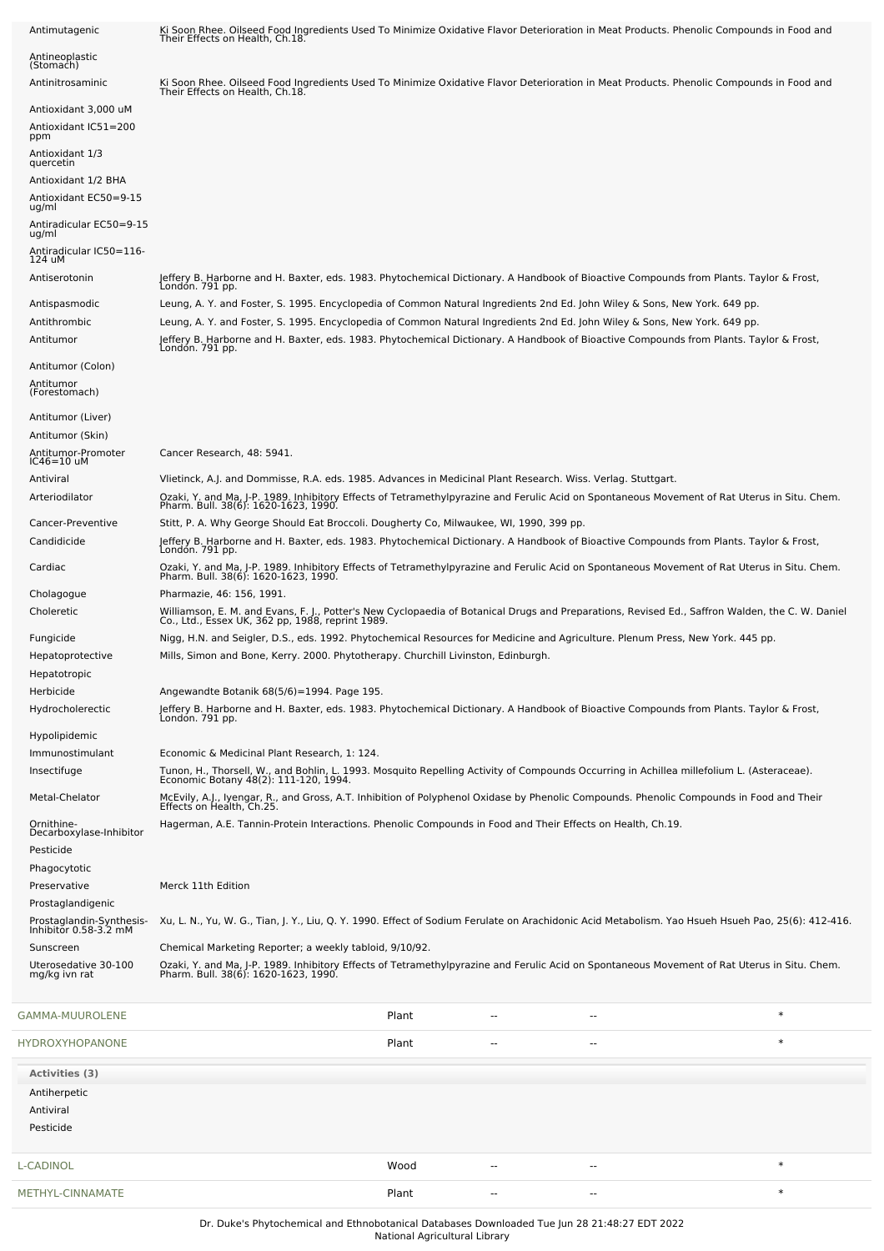| Antimutagenic                                     | Ki Soon Rhee. Oilseed Food Ingredients Used To Minimize Oxidative Flavor Deterioration in Meat Products. Phenolic Compounds in Food and<br>Their Effects on Health, Ch.18.                          |       |    |                |        |
|---------------------------------------------------|-----------------------------------------------------------------------------------------------------------------------------------------------------------------------------------------------------|-------|----|----------------|--------|
| Antineoplastic<br>(Stomach)                       |                                                                                                                                                                                                     |       |    |                |        |
| Antinitrosaminic                                  | Ki Soon Rhee. Oilseed Food Ingredients Used To Minimize Oxidative Flavor Deterioration in Meat Products. Phenolic Compounds in Food and<br>Their Effects on Health, Ch.18.                          |       |    |                |        |
| Antioxidant 3,000 uM                              |                                                                                                                                                                                                     |       |    |                |        |
| Antioxidant IC51=200<br>ppm                       |                                                                                                                                                                                                     |       |    |                |        |
| Antioxidant 1/3                                   |                                                                                                                                                                                                     |       |    |                |        |
| quercetin<br>Antioxidant 1/2 BHA                  |                                                                                                                                                                                                     |       |    |                |        |
| Antioxidant EC50=9-15<br>ug/ml                    |                                                                                                                                                                                                     |       |    |                |        |
| Antiradicular EC50=9-15<br>ug/ml                  |                                                                                                                                                                                                     |       |    |                |        |
| Antiradicular IC50=116-<br>124 uM                 |                                                                                                                                                                                                     |       |    |                |        |
| Antiserotonin                                     | Jeffery B. Harborne and H. Baxter, eds. 1983. Phytochemical Dictionary. A Handbook of Bioactive Compounds from Plants. Taylor & Frost,<br>Londón. 791 pp.                                           |       |    |                |        |
| Antispasmodic                                     | Leung, A. Y. and Foster, S. 1995. Encyclopedia of Common Natural Ingredients 2nd Ed. John Wiley & Sons, New York. 649 pp.                                                                           |       |    |                |        |
| Antithrombic                                      | Leung, A. Y. and Foster, S. 1995. Encyclopedia of Common Natural Ingredients 2nd Ed. John Wiley & Sons, New York. 649 pp.                                                                           |       |    |                |        |
| Antitumor                                         | Jeffery B. Harborne and H. Baxter, eds. 1983. Phytochemical Dictionary. A Handbook of Bioactive Compounds from Plants. Taylor & Frost,<br>Londón. 791 pp.                                           |       |    |                |        |
| Antitumor (Colon)                                 |                                                                                                                                                                                                     |       |    |                |        |
| Antitumor<br>(Forestomach)                        |                                                                                                                                                                                                     |       |    |                |        |
| Antitumor (Liver)                                 |                                                                                                                                                                                                     |       |    |                |        |
| Antitumor (Skin)                                  |                                                                                                                                                                                                     |       |    |                |        |
| Antitumor-Promoter<br>IC46=10 uM                  | Cancer Research, 48: 5941.                                                                                                                                                                          |       |    |                |        |
| Antiviral                                         | Vlietinck, A.J. and Dommisse, R.A. eds. 1985. Advances in Medicinal Plant Research. Wiss. Verlag. Stuttgart.                                                                                        |       |    |                |        |
| Arteriodilator                                    | Ozaki, Y. and Ma, J-P. 1989. Inhibitory Effects of Tetramethylpyrazine and Ferulic Acid on Spontaneous Movement of Rat Uterus in Situ. Chem.<br>Pharm. Bull. 38(6): 1620-1623, 1990.                |       |    |                |        |
| Cancer-Preventive<br>Candidicide                  | Stitt, P. A. Why George Should Eat Broccoli. Dougherty Co, Milwaukee, WI, 1990, 399 pp.                                                                                                             |       |    |                |        |
|                                                   | Jeffery B. Harborne and H. Baxter, eds. 1983. Phytochemical Dictionary. A Handbook of Bioactive Compounds from Plants. Taylor & Frost,<br>Londón. 791 pp.                                           |       |    |                |        |
| Cardiac                                           | Ozaki, Y. and Ma, J-P. 1989. Inhibitory Effects of Tetramethylpyrazine and Ferulic Acid on Spontaneous Movement of Rat Uterus in Situ. Chem.<br>Pharm. Bull. 38(6): 1620-1623, 1990.                |       |    |                |        |
| Cholagogue                                        | Pharmazie, 46: 156, 1991.                                                                                                                                                                           |       |    |                |        |
| Choleretic                                        | Williamson, E. M. and Evans, F. J., Potter's New Cyclopaedia of Botanical Drugs and Preparations, Revised Ed., Saffron Walden, the C. W. Daniel<br>Co., Ltd., Essex UK, 362 pp, 1988, reprint 1989. |       |    |                |        |
| Fungicide                                         | Nigg, H.N. and Seigler, D.S., eds. 1992. Phytochemical Resources for Medicine and Agriculture. Plenum Press, New York. 445 pp.                                                                      |       |    |                |        |
| Hepatoprotective<br>Hepatotropic                  | Mills, Simon and Bone, Kerry. 2000. Phytotherapy. Churchill Livinston, Edinburgh.                                                                                                                   |       |    |                |        |
| Herbicide                                         | Angewandte Botanik 68(5/6)=1994. Page 195.                                                                                                                                                          |       |    |                |        |
| Hydrocholerectic                                  | Jeffery B. Harborne and H. Baxter, eds. 1983. Phytochemical Dictionary. A Handbook of Bioactive Compounds from Plants. Taylor & Frost,<br>Londón. 791 pp.                                           |       |    |                |        |
| Hypolipidemic                                     |                                                                                                                                                                                                     |       |    |                |        |
| Immunostimulant                                   | Economic & Medicinal Plant Research, 1: 124.                                                                                                                                                        |       |    |                |        |
| Insectifuge                                       | Tunon, H., Thorsell, W., and Bohlin, L. 1993. Mosquito Repelling Activity of Compounds Occurring in Achillea millefolium L. (Asteraceae).<br>Economic Botany 48(2): 111-120, 1994.                  |       |    |                |        |
| Metal-Chelator                                    | McEvily, A.J., Iyengar, R., and Gross, A.T. Inhibition of Polyphenol Oxidase by Phenolic Compounds. Phenolic Compounds in Food and Their<br>Effects on Health, Ch.25.                               |       |    |                |        |
| Ornithine-<br>Decarboxylase-Inhibitor             | Hagerman, A.E. Tannin-Protein Interactions. Phenolic Compounds in Food and Their Effects on Health, Ch.19.                                                                                          |       |    |                |        |
| Pesticide                                         |                                                                                                                                                                                                     |       |    |                |        |
| Phagocytotic                                      |                                                                                                                                                                                                     |       |    |                |        |
| Preservative<br>Prostaglandigenic                 | Merck 11th Edition                                                                                                                                                                                  |       |    |                |        |
| Prostaglandin-Synthesis-<br>Inhibitor 0.58-3.2 mM | Xu, L. N., Yu, W. G., Tian, J. Y., Liu, Q. Y. 1990. Effect of Sodium Ferulate on Arachidonic Acid Metabolism. Yao Hsueh Hsueh Pao, 25(6): 412-416.                                                  |       |    |                |        |
| Sunscreen                                         | Chemical Marketing Reporter; a weekly tabloid, 9/10/92.                                                                                                                                             |       |    |                |        |
| Uterosedative 30-100<br>mg/kg ivn rat             | Ozaki, Y. and Ma, J-P. 1989. Inhibitory Effects of Tetramethylpyrazine and Ferulic Acid on Spontaneous Movement of Rat Uterus in Situ. Chem.<br>Pharm. Bull. 38(6): 1620-1623, 1990.                |       |    |                |        |
|                                                   |                                                                                                                                                                                                     |       |    |                |        |
| GAMMA-MUUROLENE                                   |                                                                                                                                                                                                     | Plant |    |                | $\ast$ |
| HYDROXYHOPANONE                                   |                                                                                                                                                                                                     | Plant |    | ٠.             | $\ast$ |
| Activities (3)                                    |                                                                                                                                                                                                     |       |    |                |        |
| Antiherpetic                                      |                                                                                                                                                                                                     |       |    |                |        |
| Antiviral                                         |                                                                                                                                                                                                     |       |    |                |        |
| Pesticide                                         |                                                                                                                                                                                                     |       |    |                |        |
| L-CADINOL                                         |                                                                                                                                                                                                     | Wood  | -- | $\overline{a}$ | $\ast$ |
|                                                   |                                                                                                                                                                                                     |       |    |                |        |
| METHYL-CINNAMATE                                  |                                                                                                                                                                                                     | Plant |    |                | $\ast$ |

Dr. Duke's Phytochemical and Ethnobotanical Databases Downloaded Tue Jun 28 21:48:27 EDT 2022 National Agricultural Library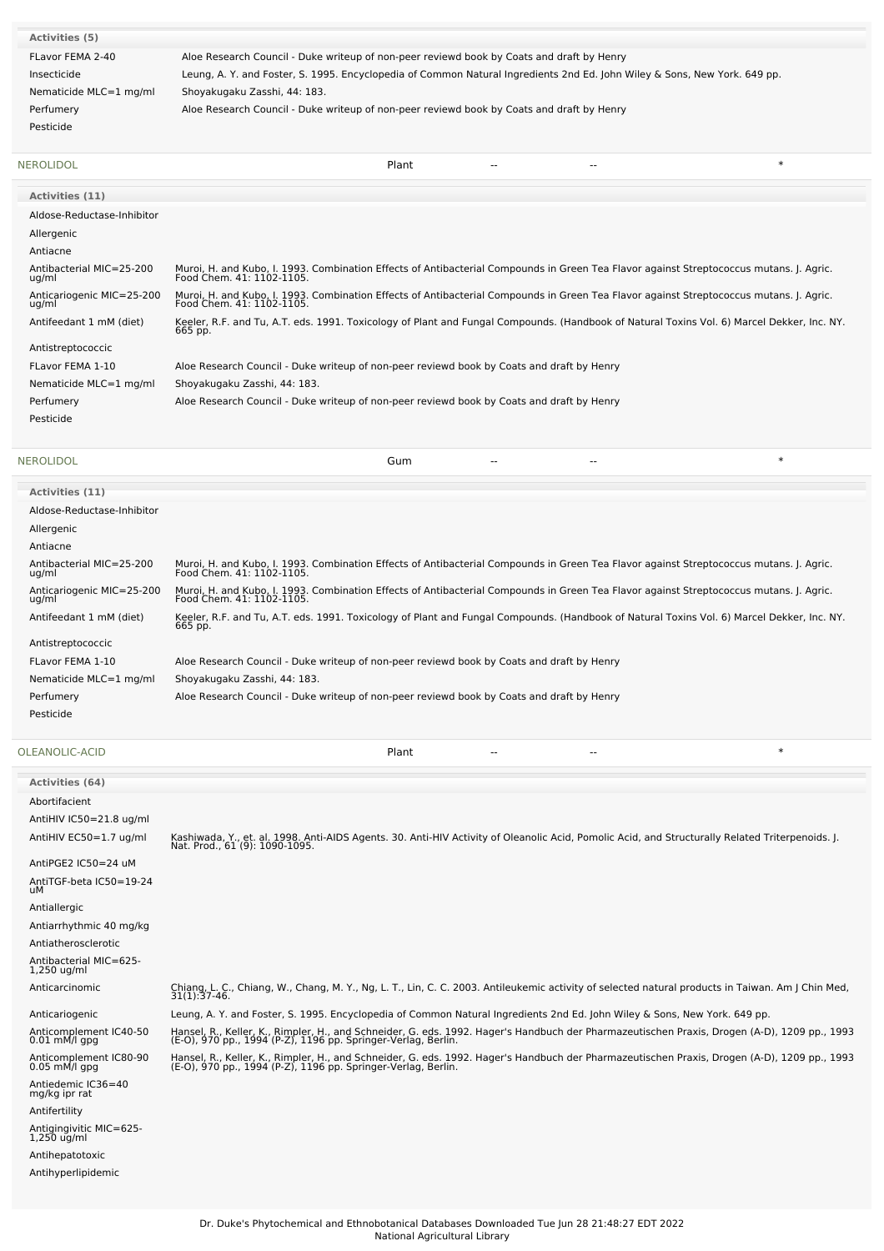| Activities (5)         |                                                                                                                           |
|------------------------|---------------------------------------------------------------------------------------------------------------------------|
| FLavor FEMA 2-40       | Aloe Research Council - Duke writeup of non-peer reviewd book by Coats and draft by Henry                                 |
| Insecticide            | Leung, A. Y. and Foster, S. 1995. Encyclopedia of Common Natural Ingredients 2nd Ed. John Wiley & Sons, New York. 649 pp. |
| Nematicide MLC=1 mg/ml | Shoyakugaku Zasshi, 44: 183.                                                                                              |
| Perfumery              | Aloe Research Council - Duke writeup of non-peer reviewd book by Coats and draft by Henry                                 |
| Pesticide              |                                                                                                                           |
|                        |                                                                                                                           |

| Activities (11)                    |                                                                                                                                                                      |
|------------------------------------|----------------------------------------------------------------------------------------------------------------------------------------------------------------------|
| Aldose-Reductase-Inhibitor         |                                                                                                                                                                      |
| Allergenic                         |                                                                                                                                                                      |
| Antiacne                           |                                                                                                                                                                      |
| Antibacterial MIC=25-200<br>ug/ml  | Muroi, H. and Kubo, I. 1993. Combination Effects of Antibacterial Compounds in Green Tea Flavor against Streptococcus mutans. J. Agric.<br>Food Chem. 41: 1102-1105. |
| Anticariogenic MIC=25-200<br>ug/ml | Muroi, H. and Kubo, I. 1993. Combination Effects of Antibacterial Compounds in Green Tea Flavor against Streptococcus mutans. J. Agric.<br>Food Chem. 41: 1102-1105. |
| Antifeedant 1 mM (diet)            | Keeler, R.F. and Tu, A.T. eds. 1991. Toxicology of Plant and Fungal Compounds. (Handbook of Natural Toxins Vol. 6) Marcel Dekker, Inc. NY.<br>665 pp.                |
| Antistreptococcic                  |                                                                                                                                                                      |
| FLavor FEMA 1-10                   | Aloe Research Council - Duke writeup of non-peer reviewd book by Coats and draft by Henry                                                                            |
| Nematicide MLC=1 mg/ml             | Shoyakugaku Zasshi, 44: 183.                                                                                                                                         |
| Perfumery                          | Aloe Research Council - Duke writeup of non-peer reviewd book by Coats and draft by Henry                                                                            |
| Pesticide                          |                                                                                                                                                                      |
|                                    |                                                                                                                                                                      |

#### [NEROLIDOL](file:///phytochem/chemicals/show/12991) Gum -- -- \*

| <b>Activities (11)</b>             |                                                                                                                                                                      |
|------------------------------------|----------------------------------------------------------------------------------------------------------------------------------------------------------------------|
| Aldose-Reductase-Inhibitor         |                                                                                                                                                                      |
| Allergenic                         |                                                                                                                                                                      |
| Antiacne                           |                                                                                                                                                                      |
| Antibacterial MIC=25-200<br>ug/ml  | Muroi, H. and Kubo, I. 1993. Combination Effects of Antibacterial Compounds in Green Tea Flavor against Streptococcus mutans. J. Agric.<br>Food Chem. 41: 1102-1105. |
| Anticariogenic MIC=25-200<br>ug/ml | Muroi, H. and Kubo, I. 1993. Combination Effects of Antibacterial Compounds in Green Tea Flavor against Streptococcus mutans. J. Agric.<br>Food Chem. 41: 1102-1105. |
| Antifeedant 1 mM (diet)            | Keeler, R.F. and Tu, A.T. eds. 1991. Toxicology of Plant and Fungal Compounds. (Handbook of Natural Toxins Vol. 6) Marcel Dekker, Inc. NY.<br>665 pp.                |
| Antistreptococcic                  |                                                                                                                                                                      |
| FLavor FEMA 1-10                   | Aloe Research Council - Duke writeup of non-peer reviewd book by Coats and draft by Henry                                                                            |
| Nematicide MLC=1 mg/ml             | Shoyakugaku Zasshi, 44: 183.                                                                                                                                         |
| Perfumery                          | Aloe Research Council - Duke writeup of non-peer reviewd book by Coats and draft by Henry                                                                            |
| Pesticide                          |                                                                                                                                                                      |
|                                    |                                                                                                                                                                      |

### [OLEANOLIC-ACID](file:///phytochem/chemicals/show/13645) Plant -- -- \*

| <b>Activities (64)</b>                    |                                                                                                                                                                                                               |
|-------------------------------------------|---------------------------------------------------------------------------------------------------------------------------------------------------------------------------------------------------------------|
| Abortifacient                             |                                                                                                                                                                                                               |
| AntiHIV IC50=21.8 ug/ml                   |                                                                                                                                                                                                               |
| AntiHIV EC50=1.7 ug/ml                    | Kashiwada, Y., et. al. 1998. Anti-AIDS Agents. 30. Anti-HIV Activity of Oleanolic Acid, Pomolic Acid, and Structurally Related Triterpenoids. J.<br>Nat. Prod., 61 (9): 1090-1095.                            |
| AntiPGE2 IC50=24 uM                       |                                                                                                                                                                                                               |
| AntiTGF-beta IC50=19-24<br>иM             |                                                                                                                                                                                                               |
| Antiallergic                              |                                                                                                                                                                                                               |
| Antiarrhythmic 40 mg/kg                   |                                                                                                                                                                                                               |
| Antiatherosclerotic                       |                                                                                                                                                                                                               |
| Antibacterial MIC=625-<br>$1,250$ ug/ml   |                                                                                                                                                                                                               |
| Anticarcinomic                            | Chiang, L. C., Chiang, W., Chang, M. Y., Ng, L. T., Lin, C. C. 2003. Antileukemic activity of selected natural products in Taiwan. Am J Chin Med,<br>$31(1):37-46.$                                           |
| Anticariogenic                            | Leung, A. Y. and Foster, S. 1995. Encyclopedia of Common Natural Ingredients 2nd Ed. John Wiley & Sons, New York. 649 pp.                                                                                     |
| Anticomplement IC40-50<br>$0.01$ mM/l qpq | Hansel, R., Keller, K., Rimpler, H., and Schneider, G. eds. 1992. Hager's Handbuch der Pharmazeutischen Praxis, Drogen (A-D), 1209 pp., 1993<br>(E-O), 970 pp., 1994 (P-Z), 1196 pp. Springer-Verlag, Berlin. |
| Anticomplement IC80-90<br>$0.05$ mM/l qpq | Hansel, R., Keller, K., Rimpler, H., and Schneider, G. eds. 1992. Hager's Handbuch der Pharmazeutischen Praxis, Drogen (A-D), 1209 pp., 1993<br>(E-O), 970 pp., 1994 (P-Z), 1196 pp. Springer-Verlag, Berlin. |
| Antiedemic IC36=40<br>mg/kg ipr rat       |                                                                                                                                                                                                               |
| Antifertility                             |                                                                                                                                                                                                               |
| Antigingivitic MIC=625-<br>$1,250$ ug/ml  |                                                                                                                                                                                                               |
| Antihepatotoxic                           |                                                                                                                                                                                                               |
| Antihyperlipidemic                        |                                                                                                                                                                                                               |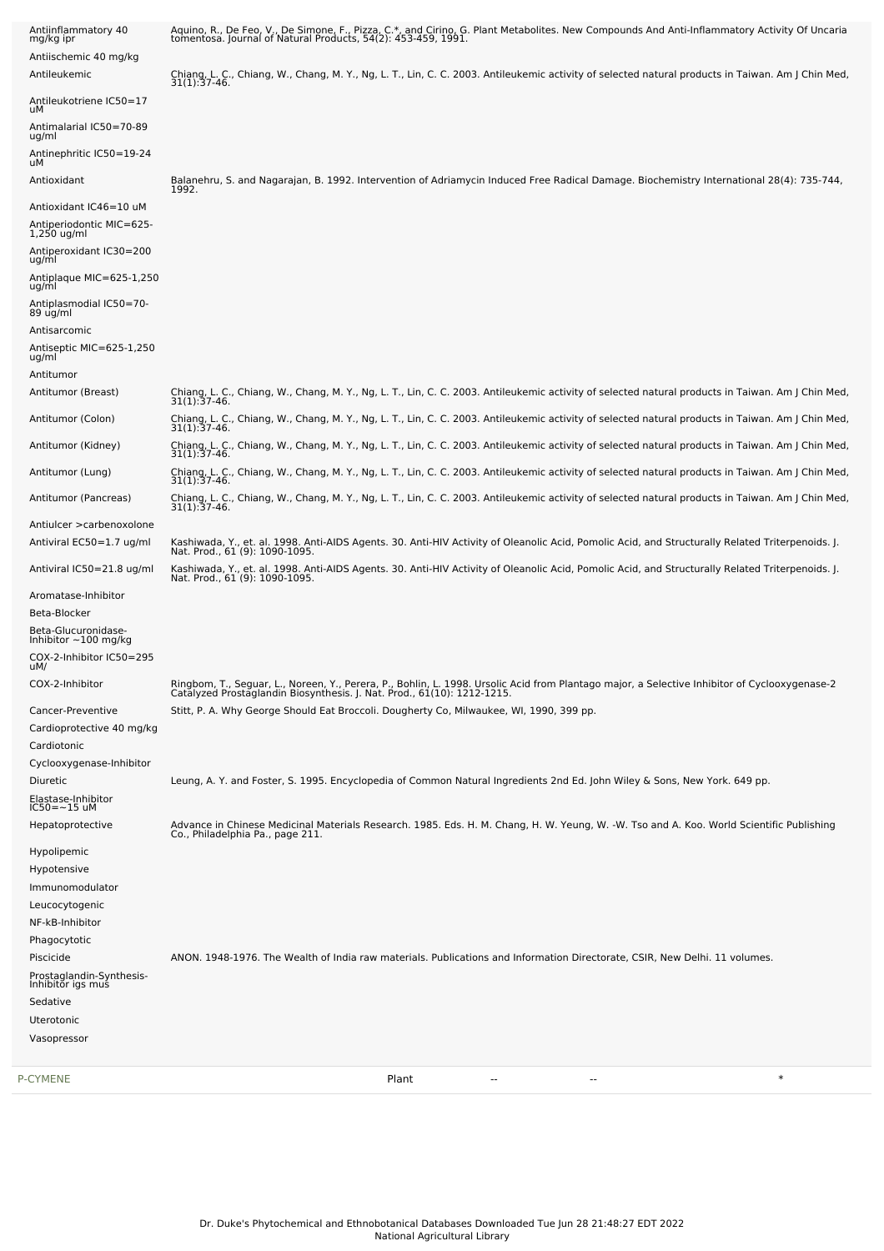| P-CYMENE                                          | $\ast$<br>Plant<br>$\overline{\phantom{a}}$<br>--                                                                                                                                                                        |
|---------------------------------------------------|--------------------------------------------------------------------------------------------------------------------------------------------------------------------------------------------------------------------------|
|                                                   |                                                                                                                                                                                                                          |
| Uterotonic<br>Vasopressor                         |                                                                                                                                                                                                                          |
| Sedative                                          |                                                                                                                                                                                                                          |
| Prostaglandin-Synthesis-<br>Inhibitor igs mus     |                                                                                                                                                                                                                          |
| Piscicide                                         | ANON. 1948-1976. The Wealth of India raw materials. Publications and Information Directorate, CSIR, New Delhi. 11 volumes.                                                                                               |
| Phagocytotic                                      |                                                                                                                                                                                                                          |
| NF-kB-Inhibitor                                   |                                                                                                                                                                                                                          |
| Leucocytogenic                                    |                                                                                                                                                                                                                          |
| Hypotensive<br>Immunomodulator                    |                                                                                                                                                                                                                          |
| Hypolipemic                                       |                                                                                                                                                                                                                          |
| Hepatoprotective                                  | Advance in Chinese Medicinal Materials Research. 1985. Eds. H. M. Chang, H. W. Yeung, W. -W. Tso and A. Koo. World Scientific Publishing<br>Co., Philadelphia Pa., page 211.                                             |
| Elastase-Inhibitor<br>IC50=~15 uM                 |                                                                                                                                                                                                                          |
| Diuretic                                          | Leung, A. Y. and Foster, S. 1995. Encyclopedia of Common Natural Ingredients 2nd Ed. John Wiley & Sons, New York. 649 pp.                                                                                                |
| Cyclooxygenase-Inhibitor                          |                                                                                                                                                                                                                          |
| Cardiotonic                                       |                                                                                                                                                                                                                          |
| Cardioprotective 40 mg/kg                         |                                                                                                                                                                                                                          |
| Cancer-Preventive                                 | Stitt, P. A. Why George Should Eat Broccoli. Dougherty Co, Milwaukee, WI, 1990, 399 pp.                                                                                                                                  |
| COX-2-Inhibitor                                   | Ringbom, T., Seguar, L., Noreen, Y., Perera, P., Bohlin, L. 1998. Ursolic Acid from Plantago major, a Selective Inhibitor of Cyclooxygenase-2<br>Catalyzed Prostaglandin Biosynthesis. J. Nat. Prod., 61(10): 1212-1215. |
| COX-2-Inhibitor IC50=295<br>uM/                   |                                                                                                                                                                                                                          |
| Beta-Glucuronidase-<br>Inhibitor $\sim$ 100 mg/kg |                                                                                                                                                                                                                          |
| Beta-Blocker                                      |                                                                                                                                                                                                                          |
| Aromatase-Inhibitor                               |                                                                                                                                                                                                                          |
| Antiviral IC50=21.8 ug/ml                         | Kashiwada, Y., et. al. 1998. Anti-AIDS Agents. 30. Anti-HIV Activity of Oleanolic Acid, Pomolic Acid, and Structurally Related Triterpenoids. J.<br>Nat. Prod., 61 (9): 1090-1095.                                       |
| Antiviral EC50=1.7 ug/ml                          | Nat. Prod., 61 (9): 1090-1095.                                                                                                                                                                                           |
| Antiulcer > carbenoxolone                         | Kashiwada, Y., et. al. 1998. Anti-AIDS Agents. 30. Anti-HIV Activity of Oleanolic Acid, Pomolic Acid, and Structurally Related Triterpenoids. J.                                                                         |
| Antitumor (Pancreas)                              | Chiang, L. C., Chiang, W., Chang, M. Y., Ng, L. T., Lin, C. C. 2003. Antileukemic activity of selected natural products in Taiwan. Am J Chin Med,<br>$31(1):37-46.$                                                      |
| Antitumor (Lung)                                  | Chiang, L. C., Chiang, W., Chang, M. Y., Ng, L. T., Lin, C. C. 2003. Antileukemic activity of selected natural products in Taiwan. Am J Chin Med,<br>$31(1):37-46.$                                                      |
|                                                   | $31(1):37-46.$                                                                                                                                                                                                           |
| Antitumor (Kidney)                                | Chiang, L. C., Chiang, W., Chang, M. Y., Ng, L. T., Lin, C. C. 2003. Antileukemic activity of selected natural products in Taiwan. Am J Chin Med,                                                                        |
| Antitumor (Colon)                                 | $31(1):37-46.$<br>Chiang, L. C., Chiang, W., Chang, M. Y., Ng, L. T., Lin, C. C. 2003. Antileukemic activity of selected natural products in Taiwan. Am J Chin Med,<br>31(1):37-46.                                      |
| Antitumor (Breast)                                | Chiang, L. C., Chiang, W., Chang, M. Y., Ng, L. T., Lin, C. C. 2003. Antileukemic activity of selected natural products in Taiwan. Am J Chin Med,                                                                        |
| ug/ml<br>Antitumor                                |                                                                                                                                                                                                                          |
| Antiseptic MIC=625-1,250                          |                                                                                                                                                                                                                          |
| 89 ug/ml<br>Antisarcomic                          |                                                                                                                                                                                                                          |
| ug/ml<br>Antiplasmodial IC50=70-                  |                                                                                                                                                                                                                          |
| Antiplaque MIC=625-1,250                          |                                                                                                                                                                                                                          |
| Antiperoxidant IC30=200<br>ug/ml                  |                                                                                                                                                                                                                          |
| Antiperiodontic MIC=625-<br>$1,250$ ug/ml         |                                                                                                                                                                                                                          |
| Antioxidant IC46=10 uM                            |                                                                                                                                                                                                                          |
| Antioxidant                                       | Balanehru, S. and Nagarajan, B. 1992. Intervention of Adriamycin Induced Free Radical Damage. Biochemistry International 28(4): 735-744,<br>1992.                                                                        |
| Antinephritic IC50=19-24<br>uМ                    |                                                                                                                                                                                                                          |
| Antimalarial IC50=70-89<br>ug/ml                  |                                                                                                                                                                                                                          |
| Antileukotriene IC50=17<br>uМ                     |                                                                                                                                                                                                                          |
|                                                   | Chiang, L. C., Chiang, W., Chang, M. Y., Ng, L. T., Lin, C. C. 2003. Antileukemic activity of selected natural products in Taiwan. Am J Chin Med, 31(1):37-46.                                                           |
| Antiischemic 40 mg/kg<br>Antileukemic             |                                                                                                                                                                                                                          |
| mg/kg ipr                                         |                                                                                                                                                                                                                          |
| Antiinflammatory 40                               | Aquino, R., De Feo, V., De Simone, F., Pizza, C.*, and Cirino, G. Plant Metabolites. New Compounds And Anti-Inflammatory Activity Of Uncaria<br>tomentosa. Journal of Natural Products, 54(2): 453-459, 1991.            |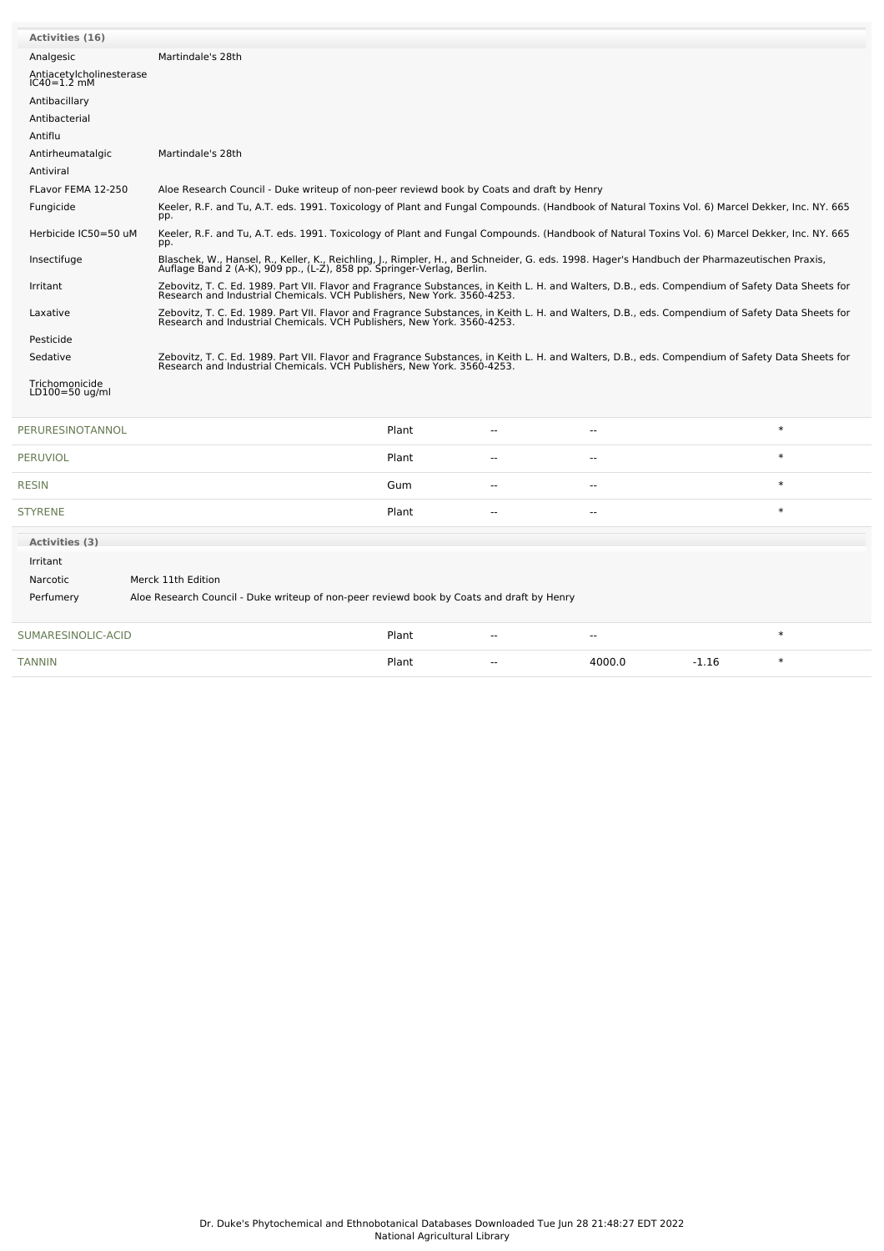| <b>Activities (16)</b>                                                                                 |                                                                                                                                                                                                                             |                                                                                                                                                                                                                             |  |        |        |  |  |  |
|--------------------------------------------------------------------------------------------------------|-----------------------------------------------------------------------------------------------------------------------------------------------------------------------------------------------------------------------------|-----------------------------------------------------------------------------------------------------------------------------------------------------------------------------------------------------------------------------|--|--------|--------|--|--|--|
| Analgesic                                                                                              | Martindale's 28th                                                                                                                                                                                                           |                                                                                                                                                                                                                             |  |        |        |  |  |  |
| Antiacetylcholinesterase<br>IC40=1.2 mM                                                                |                                                                                                                                                                                                                             |                                                                                                                                                                                                                             |  |        |        |  |  |  |
| Antibacillary                                                                                          |                                                                                                                                                                                                                             |                                                                                                                                                                                                                             |  |        |        |  |  |  |
| Antibacterial                                                                                          |                                                                                                                                                                                                                             |                                                                                                                                                                                                                             |  |        |        |  |  |  |
| Antiflu                                                                                                |                                                                                                                                                                                                                             |                                                                                                                                                                                                                             |  |        |        |  |  |  |
| Antirheumatalgic                                                                                       | Martindale's 28th                                                                                                                                                                                                           |                                                                                                                                                                                                                             |  |        |        |  |  |  |
| Antiviral                                                                                              |                                                                                                                                                                                                                             |                                                                                                                                                                                                                             |  |        |        |  |  |  |
| FLavor FEMA 12-250                                                                                     |                                                                                                                                                                                                                             | Aloe Research Council - Duke writeup of non-peer reviewd book by Coats and draft by Henry                                                                                                                                   |  |        |        |  |  |  |
| Fungicide                                                                                              | Keeler, R.F. and Tu, A.T. eds. 1991. Toxicology of Plant and Fungal Compounds. (Handbook of Natural Toxins Vol. 6) Marcel Dekker, Inc. NY. 665<br>pp.                                                                       |                                                                                                                                                                                                                             |  |        |        |  |  |  |
| Herbicide IC50=50 uM                                                                                   | Keeler, R.F. and Tu, A.T. eds. 1991. Toxicology of Plant and Fungal Compounds. (Handbook of Natural Toxins Vol. 6) Marcel Dekker, Inc. NY. 665<br>pp.                                                                       |                                                                                                                                                                                                                             |  |        |        |  |  |  |
| Insectifuge                                                                                            | Blaschek, W., Hansel, R., Keller, K., Reichling, J., Rimpler, H., and Schneider, G. eds. 1998. Hager's Handbuch der Pharmazeutischen Praxis,<br>Auflage Band 2 (A-K), 909 pp., (L-Z), 858 pp. Springer-Verlag, Berlin.      |                                                                                                                                                                                                                             |  |        |        |  |  |  |
| Irritant                                                                                               | Zebovitz, T. C. Ed. 1989. Part VII. Flavor and Fragrance Substances, in Keith L. H. and Walters, D.B., eds. Compendium of Safety Data Sheets for<br>Research and Industrial Chemicals. VCH Publishers, New York. 3560-4253. |                                                                                                                                                                                                                             |  |        |        |  |  |  |
| Laxative                                                                                               | Zebovitz, T. C. Ed. 1989. Part VII. Flavor and Fragrance Substances, in Keith L. H. and Walters, D.B., eds. Compendium of Safety Data Sheets for<br>Research and Industrial Chemicals. VCH Publishers, New York. 3560-4253. |                                                                                                                                                                                                                             |  |        |        |  |  |  |
| Pesticide                                                                                              |                                                                                                                                                                                                                             |                                                                                                                                                                                                                             |  |        |        |  |  |  |
| Sedative                                                                                               |                                                                                                                                                                                                                             | Zebovitz, T. C. Ed. 1989. Part VII. Flavor and Fragrance Substances, in Keith L. H. and Walters, D.B., eds. Compendium of Safety Data Sheets for<br>Research and Industrial Chemicals. VCH Publishers, New York. 3560-4253. |  |        |        |  |  |  |
| Trichomonicide<br>LD100=50 ug/ml                                                                       |                                                                                                                                                                                                                             |                                                                                                                                                                                                                             |  |        |        |  |  |  |
| PERURESINOTANNOL                                                                                       |                                                                                                                                                                                                                             | Plant                                                                                                                                                                                                                       |  | --     | $\ast$ |  |  |  |
| PERUVIOL                                                                                               |                                                                                                                                                                                                                             | Plant                                                                                                                                                                                                                       |  | $-$    | $\ast$ |  |  |  |
| <b>RESIN</b>                                                                                           |                                                                                                                                                                                                                             | Gum                                                                                                                                                                                                                         |  | $\sim$ | $\ast$ |  |  |  |
| <b>STYRENE</b>                                                                                         |                                                                                                                                                                                                                             | Plant                                                                                                                                                                                                                       |  | $\sim$ | $\ast$ |  |  |  |
| <b>Activities (3)</b>                                                                                  |                                                                                                                                                                                                                             |                                                                                                                                                                                                                             |  |        |        |  |  |  |
| Irritant                                                                                               |                                                                                                                                                                                                                             |                                                                                                                                                                                                                             |  |        |        |  |  |  |
| Narcotic                                                                                               | Merck 11th Edition                                                                                                                                                                                                          |                                                                                                                                                                                                                             |  |        |        |  |  |  |
| Aloe Research Council - Duke writeup of non-peer reviewd book by Coats and draft by Henry<br>Perfumery |                                                                                                                                                                                                                             |                                                                                                                                                                                                                             |  |        |        |  |  |  |
| SUMARESINOLIC-ACID                                                                                     |                                                                                                                                                                                                                             | Plant                                                                                                                                                                                                                       |  |        | $\ast$ |  |  |  |
|                                                                                                        |                                                                                                                                                                                                                             |                                                                                                                                                                                                                             |  |        |        |  |  |  |

[TANNIN](file:///phytochem/chemicals/show/16791) Plant -- 4000.0 -1.16 \*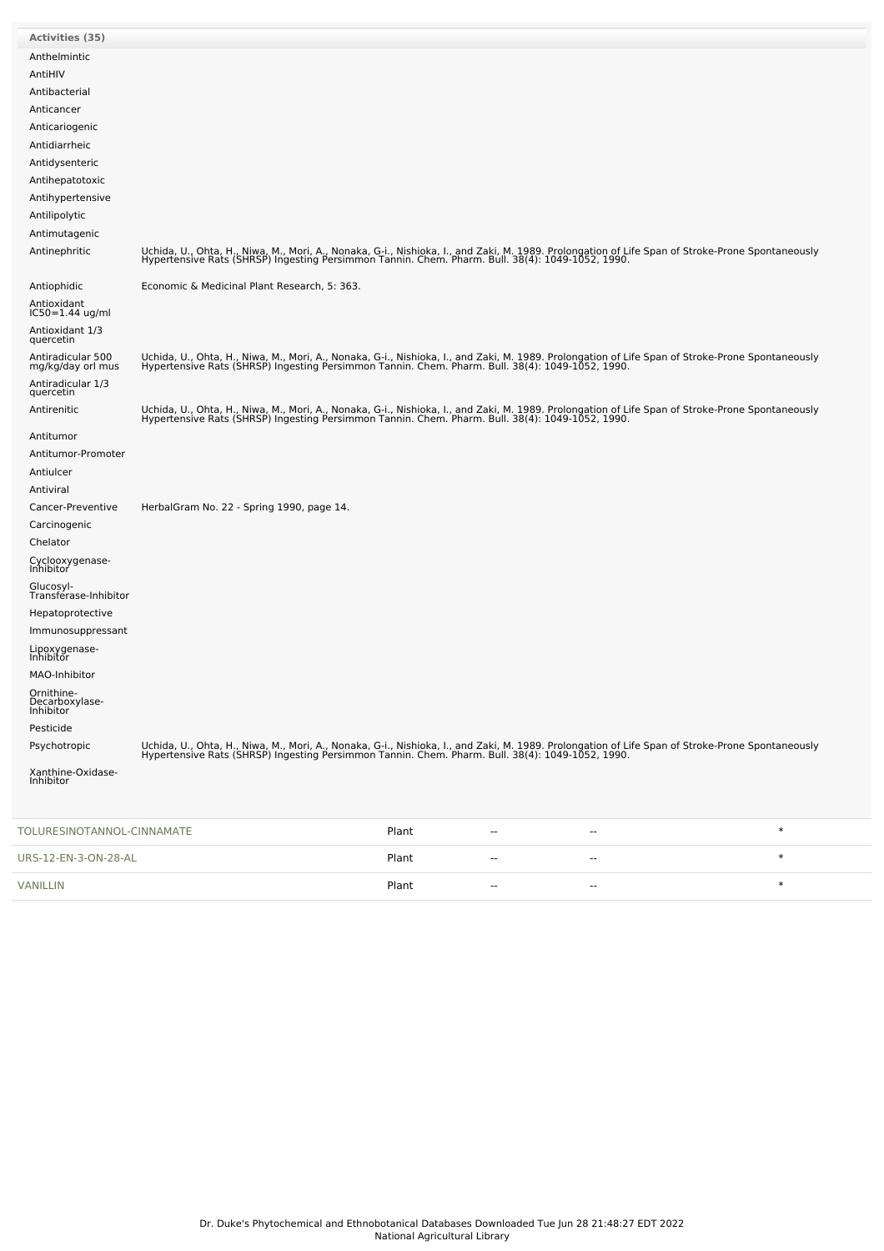| <b>Activities (35)</b>                    |                                                                                                                                                                                                                                   |
|-------------------------------------------|-----------------------------------------------------------------------------------------------------------------------------------------------------------------------------------------------------------------------------------|
| Anthelmintic                              |                                                                                                                                                                                                                                   |
| AntiHIV                                   |                                                                                                                                                                                                                                   |
| Antibacterial                             |                                                                                                                                                                                                                                   |
| Anticancer                                |                                                                                                                                                                                                                                   |
| Anticariogenic                            |                                                                                                                                                                                                                                   |
| Antidiarrheic                             |                                                                                                                                                                                                                                   |
| Antidysenteric                            |                                                                                                                                                                                                                                   |
| Antihepatotoxic                           |                                                                                                                                                                                                                                   |
| Antihypertensive                          |                                                                                                                                                                                                                                   |
| Antilipolytic                             |                                                                                                                                                                                                                                   |
| Antimutagenic                             |                                                                                                                                                                                                                                   |
| Antinephritic                             | Uchida, U., Ohta, H., Niwa, M., Mori, A., Nonaka, G-i., Nishioka, I., and Zaki, M. 1989. Prolongation of Life Span of Stroke-Prone Spontaneously<br>Hypertensive Rats (SHRSP) Ingesting Persimmon Tannin. Chem. Pharm. Bull. 38(4 |
| Antiophidic                               | Economic & Medicinal Plant Research, 5: 363.                                                                                                                                                                                      |
| Antioxidant<br>$IC50 = 1.44$ ug/ml        |                                                                                                                                                                                                                                   |
| Antioxidant 1/3                           |                                                                                                                                                                                                                                   |
| quercetin                                 |                                                                                                                                                                                                                                   |
| Antiradicular 500<br>mg/kg/day orl mus    | Uchida, U., Ohta, H., Niwa, M., Mori, A., Nonaka, G-i., Nishioka, I., and Zaki, M. 1989. Prolongation of Life Span of Stroke-Prone Spontaneously<br>Hypertensive Rats (SHRSP) Ingesting Persimmon Tannin. Chem. Pharm. Bull. 38(4 |
| Antiradicular 1/3<br>quercetin            |                                                                                                                                                                                                                                   |
| Antirenitic                               | Uchida, U., Ohta, H., Niwa, M., Mori, A., Nonaka, G-i., Nishioka, I., and Zaki, M. 1989. Prolongation of Life Span of Stroke-Prone Spontaneously<br>Hypertensive Rats (SHRSP) Ingesting Persimmon Tannin. Chem. Pharm. Bull. 38(4 |
| Antitumor                                 |                                                                                                                                                                                                                                   |
| Antitumor-Promoter                        |                                                                                                                                                                                                                                   |
| Antiulcer                                 |                                                                                                                                                                                                                                   |
| Antiviral                                 |                                                                                                                                                                                                                                   |
| Cancer-Preventive                         | HerbalGram No. 22 - Spring 1990, page 14.                                                                                                                                                                                         |
| Carcinogenic                              |                                                                                                                                                                                                                                   |
| Chelator                                  |                                                                                                                                                                                                                                   |
| Cyclooxygenase-<br>Inhibitor<br>Glucosyl- |                                                                                                                                                                                                                                   |
| Transférase-Inhibitor                     |                                                                                                                                                                                                                                   |
| Hepatoprotective                          |                                                                                                                                                                                                                                   |
| Immunosuppressant                         |                                                                                                                                                                                                                                   |
| Lipoxygenase-<br>Inhibitor                |                                                                                                                                                                                                                                   |
| MAO-Inhibitor                             |                                                                                                                                                                                                                                   |
| Ornithine-<br>Decarboxylase-<br>Inhibitor |                                                                                                                                                                                                                                   |
| Pesticide                                 |                                                                                                                                                                                                                                   |
| Psychotropic                              | Uchida, U., Ohta, H., Niwa, M., Mori, A., Nonaka, G-i., Nishioka, I., and Zaki, M. 1989. Prolongation of Life Span of Stroke-Prone Spontaneously<br>Hypertensive Rats (SHRSP) Ingesting Persimmon Tannin. Chem. Pharm. Bull. 38(4 |
| Xanthine-Oxidase-<br>Inhibitor            |                                                                                                                                                                                                                                   |
| TOLURESINOTANNOL-CINNAMATE                | $\ast$<br>Plant<br>$\overline{a}$<br>$-$                                                                                                                                                                                          |
| URS-12-EN-3-ON-28-AL                      | $\ast$<br>Plant<br>۰.<br>$\overline{\phantom{a}}$                                                                                                                                                                                 |

vanillin variation of the set of the set of the set of the set of the set of the set of the set of the set of the set of the set of the set of the set of the set of the set of the set of the set of the set of the set of th